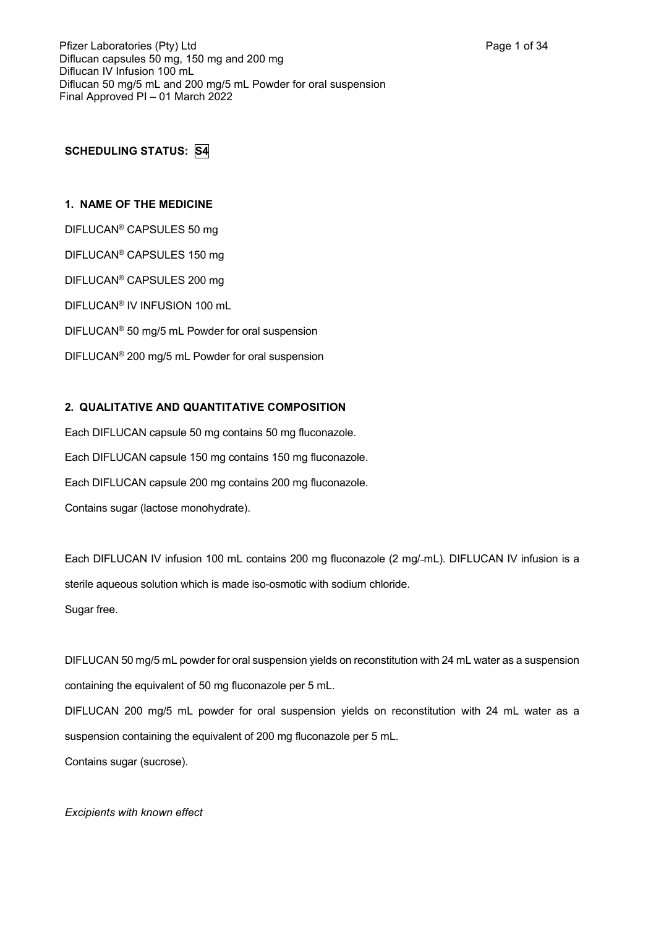# **SCHEDULING STATUS: S4**

## **1. NAME OF THE MEDICINE**

DIFLUCAN® CAPSULES 50 mg DIFLUCAN® CAPSULES 150 mg DIFLUCAN® CAPSULES 200 mg DIFLUCAN® IV INFUSION 100 mL DIFLUCAN® 50 mg/5 mL Powder for oral suspension DIFLUCAN® 200 mg/5 mL Powder for oral suspension

## **2. QUALITATIVE AND QUANTITATIVE COMPOSITION**

Each DIFLUCAN capsule 50 mg contains 50 mg fluconazole. Each DIFLUCAN capsule 150 mg contains 150 mg fluconazole. Each DIFLUCAN capsule 200 mg contains 200 mg fluconazole. Contains sugar (lactose monohydrate).

Each DIFLUCAN IV infusion 100 mL contains 200 mg fluconazole (2 mg/-mL). DIFLUCAN IV infusion is a sterile aqueous solution which is made iso-osmotic with sodium chloride. Sugar free.

DIFLUCAN 50 mg/5 mL powder for oral suspension yields on reconstitution with 24 mL water as a suspension containing the equivalent of 50 mg fluconazole per 5 mL. DIFLUCAN 200 mg/5 mL powder for oral suspension yields on reconstitution with 24 mL water as a

suspension containing the equivalent of 200 mg fluconazole per 5 mL. Contains sugar (sucrose).

*Excipients with known effect*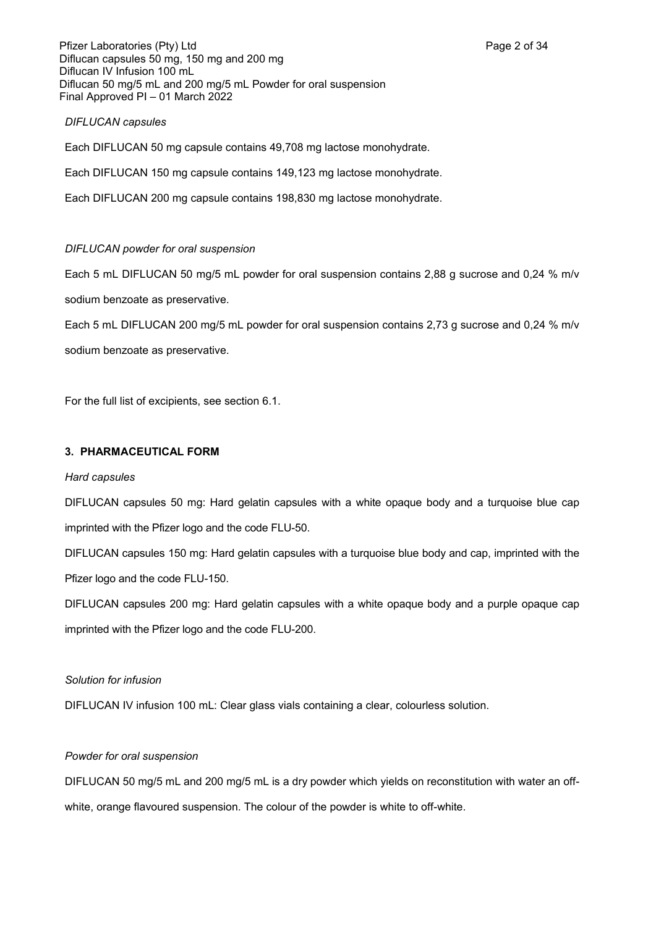Pfizer Laboratories (Pty) Ltd **Page 2 of 34** Page 2 of 34 Diflucan capsules 50 mg, 150 mg and 200 mg Diflucan IV Infusion 100 mL Diflucan 50 mg/5 mL and 200 mg/5 mL Powder for oral suspension Final Approved PI – 01 March 2022

### *DIFLUCAN capsules*

Each DIFLUCAN 50 mg capsule contains 49,708 mg lactose monohydrate.

Each DIFLUCAN 150 mg capsule contains 149,123 mg lactose monohydrate.

Each DIFLUCAN 200 mg capsule contains 198,830 mg lactose monohydrate.

## *DIFLUCAN powder for oral suspension*

Each 5 mL DIFLUCAN 50 mg/5 mL powder for oral suspension contains 2,88 g sucrose and 0,24 % m/v sodium benzoate as preservative.

Each 5 mL DIFLUCAN 200 mg/5 mL powder for oral suspension contains 2,73 g sucrose and 0,24 % m/v

sodium benzoate as preservative.

For the full list of excipients, see section 6.1.

### **3. PHARMACEUTICAL FORM**

### *Hard capsules*

DIFLUCAN capsules 50 mg: Hard gelatin capsules with a white opaque body and a turquoise blue cap imprinted with the Pfizer logo and the code FLU-50.

DIFLUCAN capsules 150 mg: Hard gelatin capsules with a turquoise blue body and cap, imprinted with the Pfizer logo and the code FLU-150.

DIFLUCAN capsules 200 mg: Hard gelatin capsules with a white opaque body and a purple opaque cap imprinted with the Pfizer logo and the code FLU-200.

### *Solution for infusion*

DIFLUCAN IV infusion 100 mL: Clear glass vials containing a clear, colourless solution.

### *Powder for oral suspension*

DIFLUCAN 50 mg/5 mL and 200 mg/5 mL is a dry powder which yields on reconstitution with water an offwhite, orange flavoured suspension. The colour of the powder is white to off-white.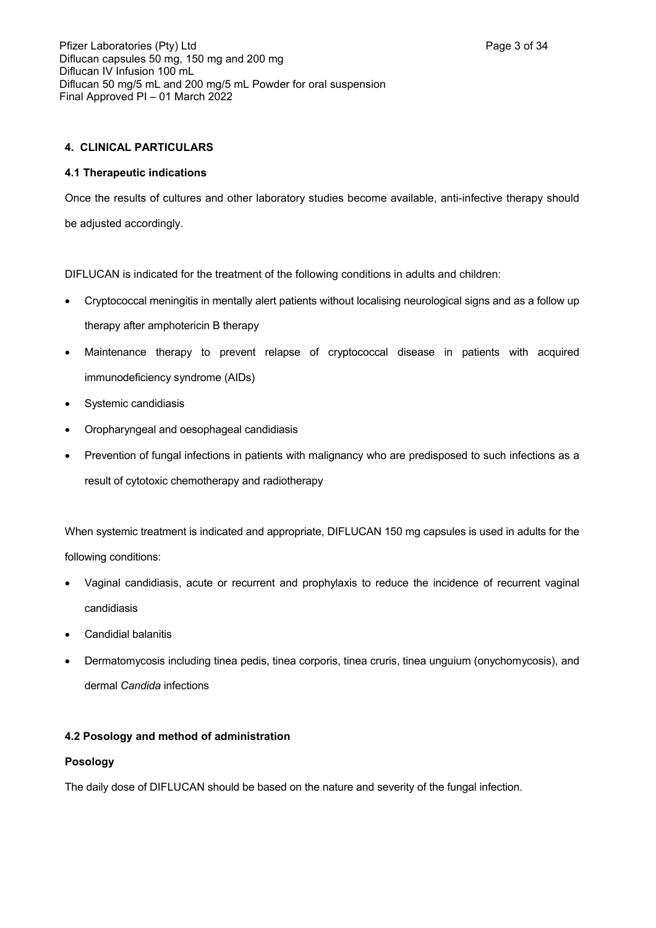## **4. CLINICAL PARTICULARS**

### **4.1 Therapeutic indications**

Once the results of cultures and other laboratory studies become available, anti-infective therapy should be adjusted accordingly.

DIFLUCAN is indicated for the treatment of the following conditions in adults and children:

- Cryptococcal meningitis in mentally alert patients without localising neurological signs and as a follow up therapy after amphotericin B therapy
- Maintenance therapy to prevent relapse of cryptococcal disease in patients with acquired immunodeficiency syndrome (AIDs)
- Systemic candidiasis
- Oropharyngeal and oesophageal candidiasis
- Prevention of fungal infections in patients with malignancy who are predisposed to such infections as a result of cytotoxic chemotherapy and radiotherapy

When systemic treatment is indicated and appropriate, DIFLUCAN 150 mg capsules is used in adults for the following conditions:

- Vaginal candidiasis, acute or recurrent and prophylaxis to reduce the incidence of recurrent vaginal candidiasis
- Candidial balanitis
- Dermatomycosis including tinea pedis, tinea corporis, tinea cruris, tinea unguium (onychomycosis), and dermal *Candida* infections

## **4.2 Posology and method of administration**

### **Posology**

The daily dose of DIFLUCAN should be based on the nature and severity of the fungal infection.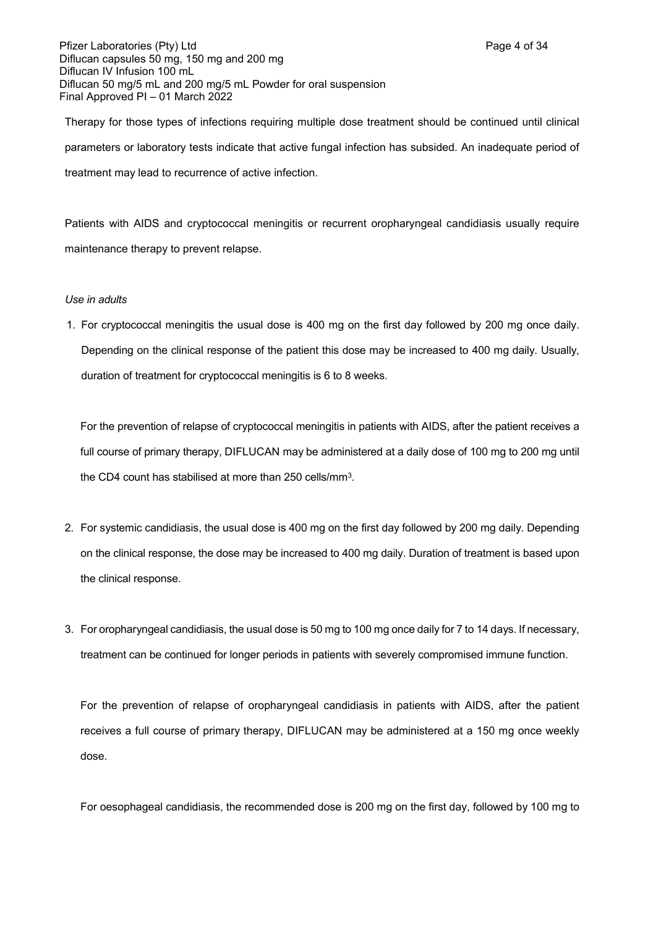Pfizer Laboratories (Pty) Ltd **Page 4 of 34** Page 4 of 34 Diflucan capsules 50 mg, 150 mg and 200 mg Diflucan IV Infusion 100 mL Diflucan 50 mg/5 mL and 200 mg/5 mL Powder for oral suspension Final Approved PI – 01 March 2022

Therapy for those types of infections requiring multiple dose treatment should be continued until clinical parameters or laboratory tests indicate that active fungal infection has subsided. An inadequate period of treatment may lead to recurrence of active infection.

Patients with AIDS and cryptococcal meningitis or recurrent oropharyngeal candidiasis usually require maintenance therapy to prevent relapse.

### *Use in adults*

1. For cryptococcal meningitis the usual dose is 400 mg on the first day followed by 200 mg once daily. Depending on the clinical response of the patient this dose may be increased to 400 mg daily. Usually, duration of treatment for cryptococcal meningitis is 6 to 8 weeks.

For the prevention of relapse of cryptococcal meningitis in patients with AIDS, after the patient receives a full course of primary therapy, DIFLUCAN may be administered at a daily dose of 100 mg to 200 mg until the CD4 count has stabilised at more than 250 cells/mm<sup>3</sup>.

- 2. For systemic candidiasis, the usual dose is 400 mg on the first day followed by 200 mg daily. Depending on the clinical response, the dose may be increased to 400 mg daily. Duration of treatment is based upon the clinical response.
- 3. For oropharyngeal candidiasis, the usual dose is 50 mg to 100 mg once daily for 7 to 14 days. If necessary, treatment can be continued for longer periods in patients with severely compromised immune function.

For the prevention of relapse of oropharyngeal candidiasis in patients with AIDS, after the patient receives a full course of primary therapy, DIFLUCAN may be administered at a 150 mg once weekly dose.

For oesophageal candidiasis, the recommended dose is 200 mg on the first day, followed by 100 mg to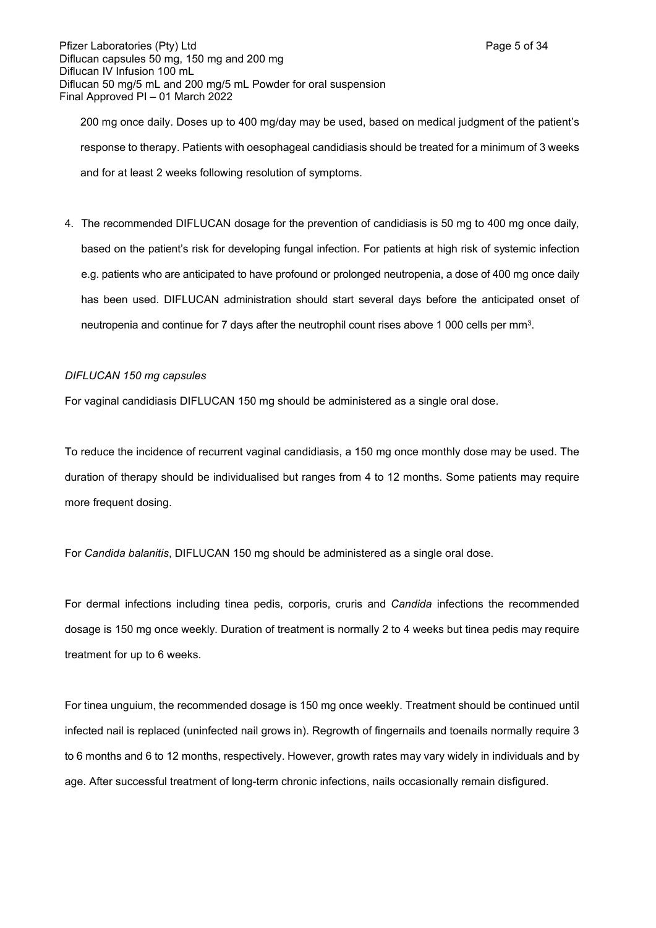Pfizer Laboratories (Pty) Ltd **Page 5 of 34** Page 5 of 34 Diflucan capsules 50 mg, 150 mg and 200 mg Diflucan IV Infusion 100 mL Diflucan 50 mg/5 mL and 200 mg/5 mL Powder for oral suspension Final Approved PI – 01 March 2022

200 mg once daily. Doses up to 400 mg/day may be used, based on medical judgment of the patient's response to therapy. Patients with oesophageal candidiasis should be treated for a minimum of 3 weeks and for at least 2 weeks following resolution of symptoms.

4. The recommended DIFLUCAN dosage for the prevention of candidiasis is 50 mg to 400 mg once daily, based on the patient's risk for developing fungal infection. For patients at high risk of systemic infection e.g. patients who are anticipated to have profound or prolonged neutropenia, a dose of 400 mg once daily has been used. DIFLUCAN administration should start several days before the anticipated onset of neutropenia and continue for 7 days after the neutrophil count rises above 1 000 cells per mm<sup>3</sup>.

### *DIFLUCAN 150 mg capsules*

For vaginal candidiasis DIFLUCAN 150 mg should be administered as a single oral dose.

To reduce the incidence of recurrent vaginal candidiasis, a 150 mg once monthly dose may be used. The duration of therapy should be individualised but ranges from 4 to 12 months. Some patients may require more frequent dosing.

For *Candida balanitis*, DIFLUCAN 150 mg should be administered as a single oral dose.

For dermal infections including tinea pedis, corporis, cruris and *Candida* infections the recommended dosage is 150 mg once weekly. Duration of treatment is normally 2 to 4 weeks but tinea pedis may require treatment for up to 6 weeks.

For tinea unguium, the recommended dosage is 150 mg once weekly. Treatment should be continued until infected nail is replaced (uninfected nail grows in). Regrowth of fingernails and toenails normally require 3 to 6 months and 6 to 12 months, respectively. However, growth rates may vary widely in individuals and by age. After successful treatment of long-term chronic infections, nails occasionally remain disfigured.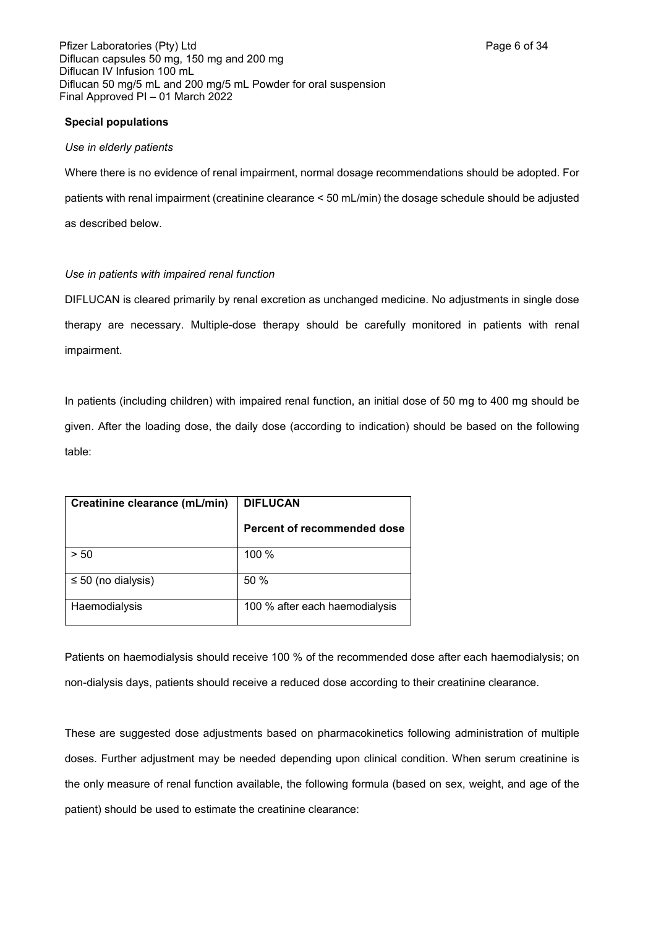Pfizer Laboratories (Pty) Ltd **Page 6 of 34** Page 6 of 34 Diflucan capsules 50 mg, 150 mg and 200 mg Diflucan IV Infusion 100 mL Diflucan 50 mg/5 mL and 200 mg/5 mL Powder for oral suspension Final Approved PI – 01 March 2022

### **Special populations**

### *Use in elderly patients*

Where there is no evidence of renal impairment, normal dosage recommendations should be adopted. For patients with renal impairment (creatinine clearance < 50 mL/min) the dosage schedule should be adjusted as described below.

## *Use in patients with impaired renal function*

DIFLUCAN is cleared primarily by renal excretion as unchanged medicine. No adjustments in single dose therapy are necessary. Multiple-dose therapy should be carefully monitored in patients with renal impairment.

In patients (including children) with impaired renal function, an initial dose of 50 mg to 400 mg should be given. After the loading dose, the daily dose (according to indication) should be based on the following table:

| Creatinine clearance (mL/min) | <b>DIFLUCAN</b>                |
|-------------------------------|--------------------------------|
|                               | Percent of recommended dose    |
| > 50                          | 100 %                          |
| $\leq 50$ (no dialysis)       | 50%                            |
| Haemodialysis                 | 100 % after each haemodialysis |

Patients on haemodialysis should receive 100 % of the recommended dose after each haemodialysis; on non-dialysis days, patients should receive a reduced dose according to their creatinine clearance.

These are suggested dose adjustments based on pharmacokinetics following administration of multiple doses. Further adjustment may be needed depending upon clinical condition. When serum creatinine is the only measure of renal function available, the following formula (based on sex, weight, and age of the patient) should be used to estimate the creatinine clearance: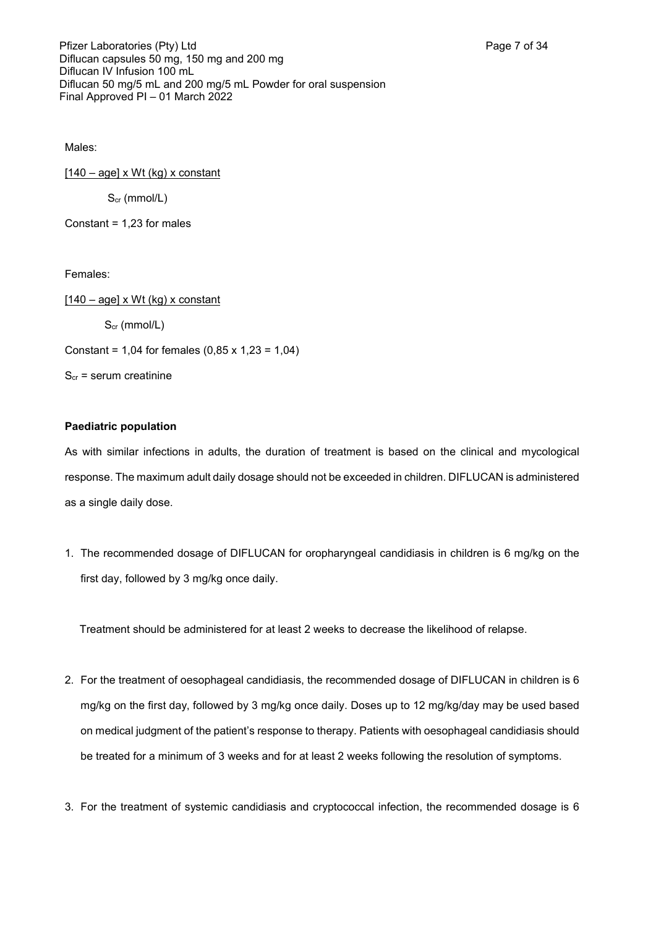Males:

 $[140 - age] \times Wt$  (kg) x constant  $S_{cr}$  (mmol/L)

Constant = 1,23 for males

Females:

 $[140 - age] \times Wt$  (kg) x constant Scr (mmol/L) Constant = 1,04 for females  $(0,85 \times 1,23 = 1,04)$  $S<sub>cr</sub>$  = serum creatinine

### **Paediatric population**

As with similar infections in adults, the duration of treatment is based on the clinical and mycological response. The maximum adult daily dosage should not be exceeded in children. DIFLUCAN is administered as a single daily dose.

1. The recommended dosage of DIFLUCAN for oropharyngeal candidiasis in children is 6 mg/kg on the first day, followed by 3 mg/kg once daily.

Treatment should be administered for at least 2 weeks to decrease the likelihood of relapse.

- 2. For the treatment of oesophageal candidiasis, the recommended dosage of DIFLUCAN in children is 6 mg/kg on the first day, followed by 3 mg/kg once daily. Doses up to 12 mg/kg/day may be used based on medical judgment of the patient's response to therapy. Patients with oesophageal candidiasis should be treated for a minimum of 3 weeks and for at least 2 weeks following the resolution of symptoms.
- 3. For the treatment of systemic candidiasis and cryptococcal infection, the recommended dosage is 6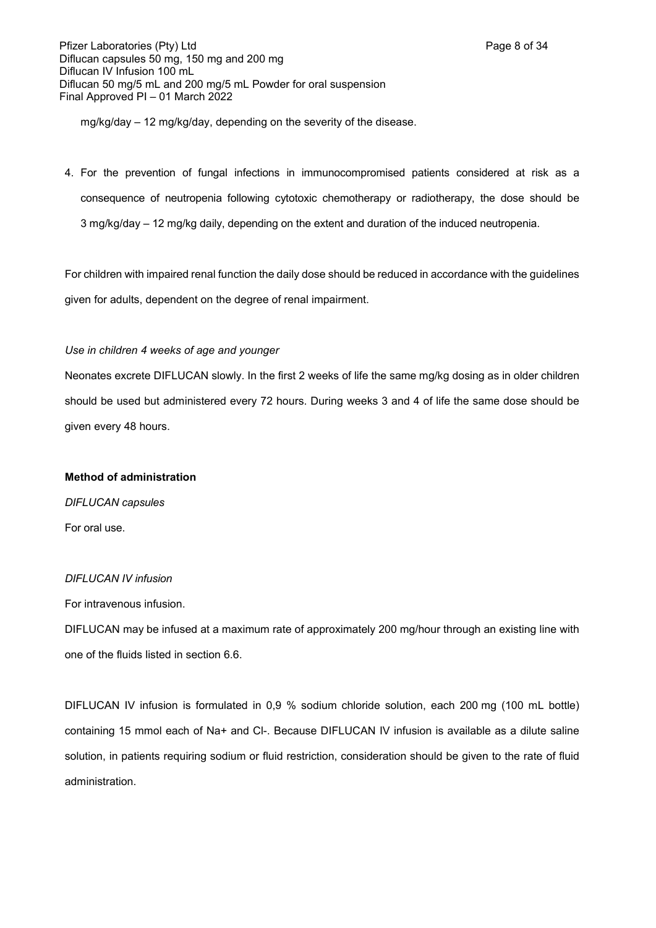Pfizer Laboratories (Pty) Ltd **Page 8 of 34** Page 8 of 34 Diflucan capsules 50 mg, 150 mg and 200 mg Diflucan IV Infusion 100 mL Diflucan 50 mg/5 mL and 200 mg/5 mL Powder for oral suspension Final Approved PI – 01 March 2022

mg/kg/day – 12 mg/kg/day, depending on the severity of the disease.

4. For the prevention of fungal infections in immunocompromised patients considered at risk as a consequence of neutropenia following cytotoxic chemotherapy or radiotherapy, the dose should be 3 mg/kg/day – 12 mg/kg daily, depending on the extent and duration of the induced neutropenia.

For children with impaired renal function the daily dose should be reduced in accordance with the guidelines given for adults, dependent on the degree of renal impairment.

### *Use in children 4 weeks of age and younger*

Neonates excrete DIFLUCAN slowly. In the first 2 weeks of life the same mg/kg dosing as in older children should be used but administered every 72 hours. During weeks 3 and 4 of life the same dose should be given every 48 hours.

## **Method of administration**

*DIFLUCAN capsules* For oral use.

### *DIFLUCAN IV infusion*

For intravenous infusion.

DIFLUCAN may be infused at a maximum rate of approximately 200 mg/hour through an existing line with one of the fluids listed in section 6.6.

DIFLUCAN IV infusion is formulated in 0,9 % sodium chloride solution, each 200 mg (100 mL bottle) containing 15 mmol each of Na+ and Cl-. Because DIFLUCAN IV infusion is available as a dilute saline solution, in patients requiring sodium or fluid restriction, consideration should be given to the rate of fluid administration.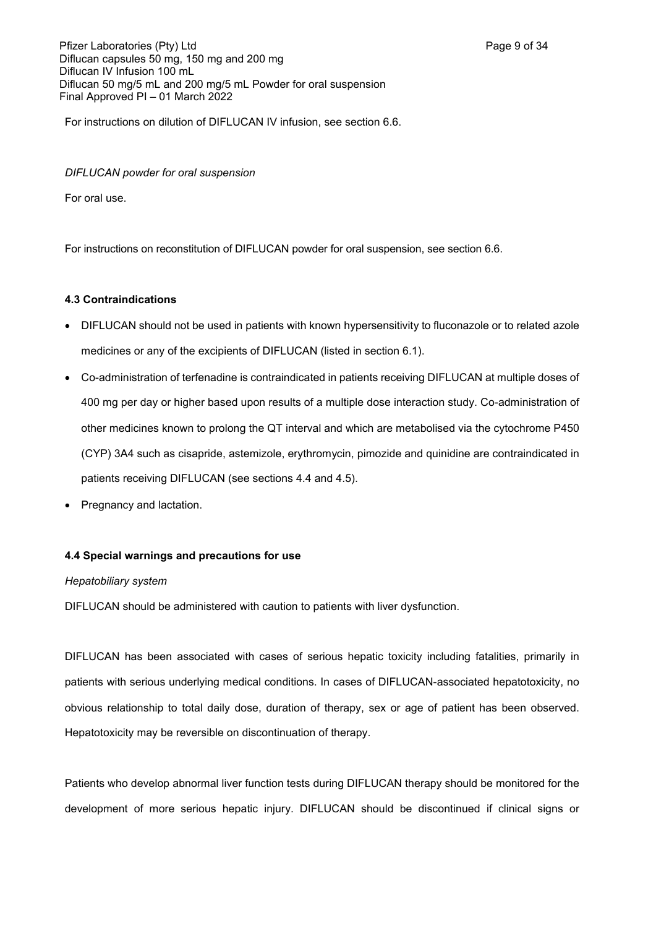Pfizer Laboratories (Pty) Ltd **Page 9 of 34** Page 9 of 34 Diflucan capsules 50 mg, 150 mg and 200 mg Diflucan IV Infusion 100 mL Diflucan 50 mg/5 mL and 200 mg/5 mL Powder for oral suspension Final Approved PI – 01 March 2022

For instructions on dilution of DIFLUCAN IV infusion, see section 6.6.

### *DIFLUCAN powder for oral suspension*

For oral use.

For instructions on reconstitution of DIFLUCAN powder for oral suspension, see section 6.6.

### **4.3 Contraindications**

- DIFLUCAN should not be used in patients with known hypersensitivity to fluconazole or to related azole medicines or any of the excipients of DIFLUCAN (listed in section 6.1).
- Co-administration of terfenadine is contraindicated in patients receiving DIFLUCAN at multiple doses of 400 mg per day or higher based upon results of a multiple dose interaction study. Co-administration of other medicines known to prolong the QT interval and which are metabolised via the cytochrome P450 (CYP) 3A4 such as cisapride, astemizole, erythromycin, pimozide and quinidine are contraindicated in patients receiving DIFLUCAN (see sections 4.4 and 4.5).
- Pregnancy and lactation.

## **4.4 Special warnings and precautions for use**

### *Hepatobiliary system*

DIFLUCAN should be administered with caution to patients with liver dysfunction.

DIFLUCAN has been associated with cases of serious hepatic toxicity including fatalities, primarily in patients with serious underlying medical conditions. In cases of DIFLUCAN-associated hepatotoxicity, no obvious relationship to total daily dose, duration of therapy, sex or age of patient has been observed. Hepatotoxicity may be reversible on discontinuation of therapy.

Patients who develop abnormal liver function tests during DIFLUCAN therapy should be monitored for the development of more serious hepatic injury. DIFLUCAN should be discontinued if clinical signs or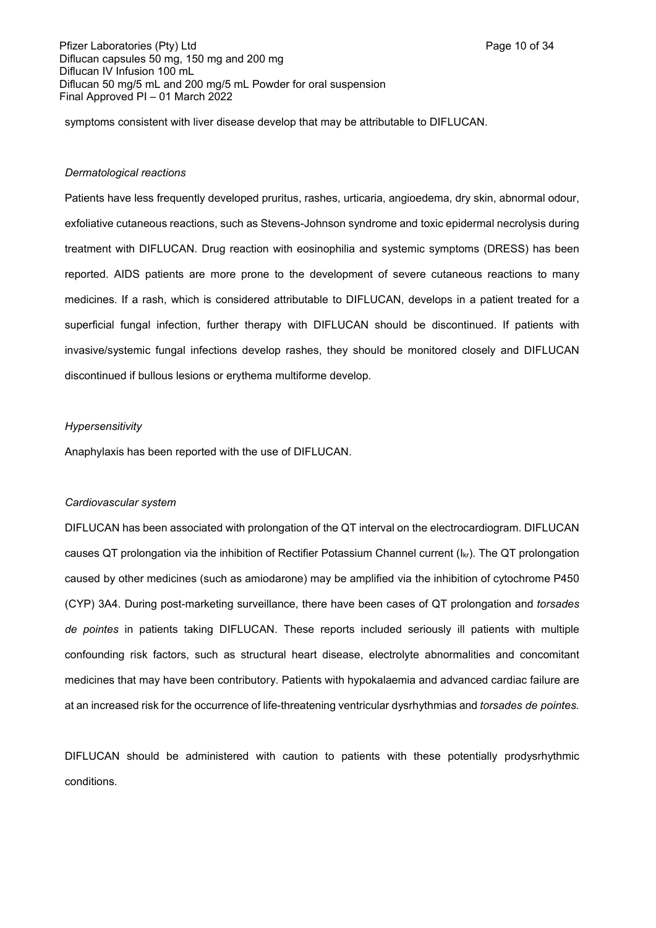Pfizer Laboratories (Pty) Ltd **Page 10 of 34** Page 10 of 34 Diflucan capsules 50 mg, 150 mg and 200 mg Diflucan IV Infusion 100 mL Diflucan 50 mg/5 mL and 200 mg/5 mL Powder for oral suspension Final Approved PI – 01 March 2022

symptoms consistent with liver disease develop that may be attributable to DIFLUCAN.

#### *Dermatological reactions*

Patients have less frequently developed pruritus, rashes, urticaria, angioedema, dry skin, abnormal odour, exfoliative cutaneous reactions, such as Stevens-Johnson syndrome and toxic epidermal necrolysis during treatment with DIFLUCAN. Drug reaction with eosinophilia and systemic symptoms (DRESS) has been reported. AIDS patients are more prone to the development of severe cutaneous reactions to many medicines. If a rash, which is considered attributable to DIFLUCAN, develops in a patient treated for a superficial fungal infection, further therapy with DIFLUCAN should be discontinued. If patients with invasive/systemic fungal infections develop rashes, they should be monitored closely and DIFLUCAN discontinued if bullous lesions or erythema multiforme develop.

#### *Hypersensitivity*

Anaphylaxis has been reported with the use of DIFLUCAN.

#### *Cardiovascular system*

DIFLUCAN has been associated with prolongation of the QT interval on the electrocardiogram. DIFLUCAN causes QT prolongation via the inhibition of Rectifier Potassium Channel current  $(I_{kr})$ . The QT prolongation caused by other medicines (such as amiodarone) may be amplified via the inhibition of cytochrome P450 (CYP) 3A4. During post-marketing surveillance, there have been cases of QT prolongation and *torsades de pointes* in patients taking DIFLUCAN. These reports included seriously ill patients with multiple confounding risk factors, such as structural heart disease, electrolyte abnormalities and concomitant medicines that may have been contributory. Patients with hypokalaemia and advanced cardiac failure are at an increased risk for the occurrence of life-threatening ventricular dysrhythmias and *torsades de pointes.*

DIFLUCAN should be administered with caution to patients with these potentially prodysrhythmic conditions.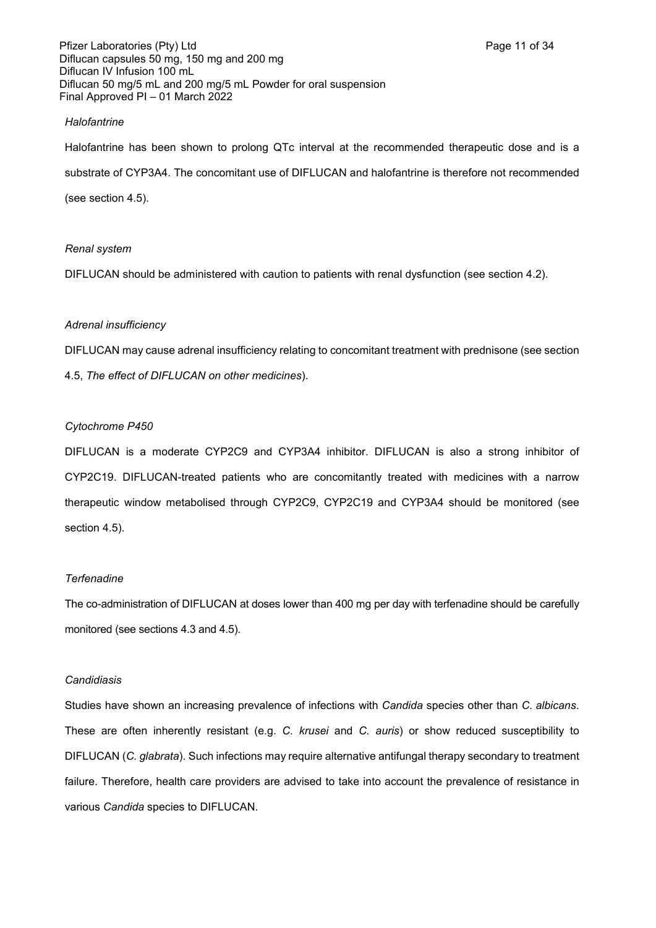Pfizer Laboratories (Pty) Ltd **Page 11 of 34** Page 11 of 34 Diflucan capsules 50 mg, 150 mg and 200 mg Diflucan IV Infusion 100 mL Diflucan 50 mg/5 mL and 200 mg/5 mL Powder for oral suspension Final Approved PI – 01 March 2022

#### *Halofantrine*

Halofantrine has been shown to prolong QTc interval at the recommended therapeutic dose and is a substrate of CYP3A4. The concomitant use of DIFLUCAN and halofantrine is therefore not recommended (see section 4.5).

#### *Renal system*

DIFLUCAN should be administered with caution to patients with renal dysfunction (see section 4.2).

#### *Adrenal insufficiency*

DIFLUCAN may cause adrenal insufficiency relating to concomitant treatment with prednisone (see section 4.5, *The effect of DIFLUCAN on other medicines*).

#### *Cytochrome P450*

DIFLUCAN is a moderate CYP2C9 and CYP3A4 inhibitor. DIFLUCAN is also a strong inhibitor of CYP2C19. DIFLUCAN-treated patients who are concomitantly treated with medicines with a narrow therapeutic window metabolised through CYP2C9, CYP2C19 and CYP3A4 should be monitored (see section 4.5).

#### *Terfenadine*

The co-administration of DIFLUCAN at doses lower than 400 mg per day with terfenadine should be carefully monitored (see sections 4.3 and 4.5).

#### *Candidiasis*

Studies have shown an increasing prevalence of infections with *Candida* species other than *C. albicans*. These are often inherently resistant (e.g. *C. krusei* and *C. auris*) or show reduced susceptibility to DIFLUCAN (*C. glabrata*). Such infections may require alternative antifungal therapy secondary to treatment failure. Therefore, health care providers are advised to take into account the prevalence of resistance in various *Candida* species to DIFLUCAN.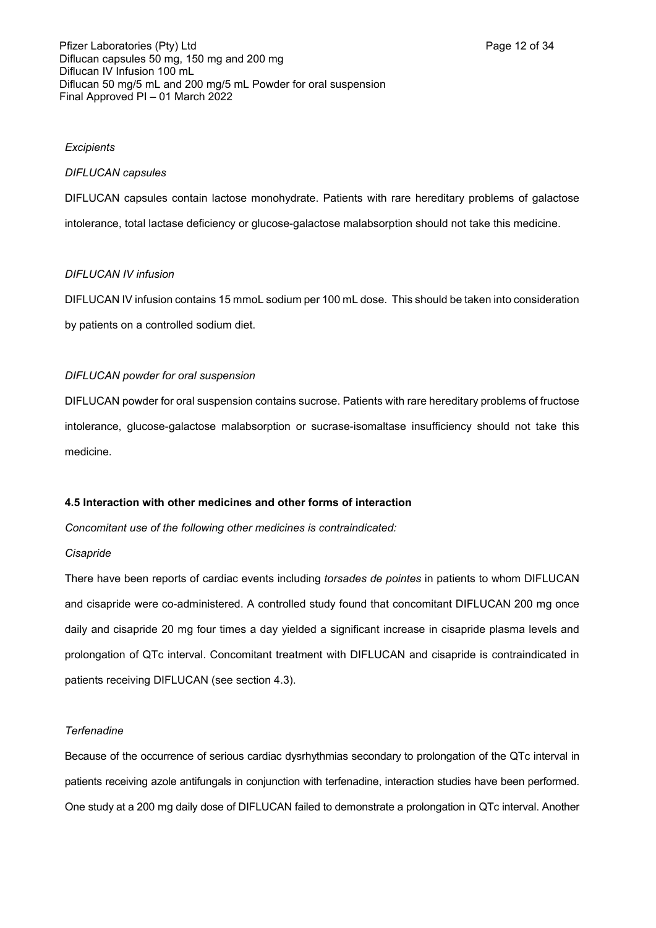### *Excipients*

#### *DIFLUCAN capsules*

DIFLUCAN capsules contain lactose monohydrate. Patients with rare hereditary problems of galactose intolerance, total lactase deficiency or glucose-galactose malabsorption should not take this medicine.

### *DIFLUCAN IV infusion*

DIFLUCAN IV infusion contains 15 mmoL sodium per 100 mL dose. This should be taken into consideration by patients on a controlled sodium diet.

### *DIFLUCAN powder for oral suspension*

DIFLUCAN powder for oral suspension contains sucrose. Patients with rare hereditary problems of fructose intolerance, glucose-galactose malabsorption or sucrase-isomaltase insufficiency should not take this medicine.

### **4.5 Interaction with other medicines and other forms of interaction**

*Concomitant use of the following other medicines is contraindicated:*

### *Cisapride*

There have been reports of cardiac events including *torsades de pointes* in patients to whom DIFLUCAN and cisapride were co-administered. A controlled study found that concomitant DIFLUCAN 200 mg once daily and cisapride 20 mg four times a day yielded a significant increase in cisapride plasma levels and prolongation of QTc interval. Concomitant treatment with DIFLUCAN and cisapride is contraindicated in patients receiving DIFLUCAN (see section 4.3).

### *Terfenadine*

Because of the occurrence of serious cardiac dysrhythmias secondary to prolongation of the QTc interval in patients receiving azole antifungals in conjunction with terfenadine, interaction studies have been performed. One study at a 200 mg daily dose of DIFLUCAN failed to demonstrate a prolongation in QTc interval. Another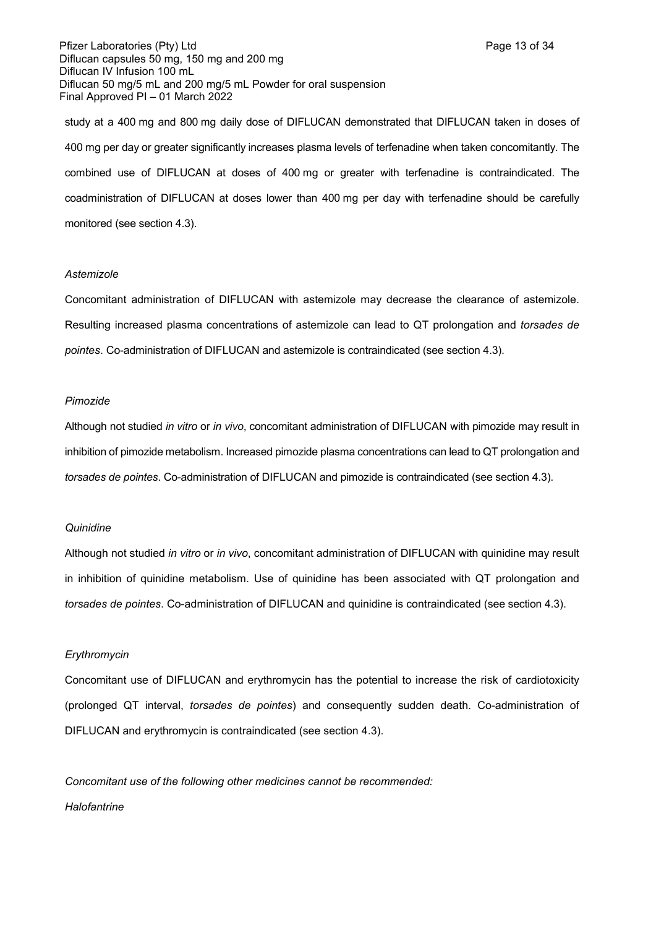Pfizer Laboratories (Pty) Ltd **Page 13 of 34** Page 13 of 34 Diflucan capsules 50 mg, 150 mg and 200 mg Diflucan IV Infusion 100 mL Diflucan 50 mg/5 mL and 200 mg/5 mL Powder for oral suspension Final Approved PI – 01 March 2022

study at a 400 mg and 800 mg daily dose of DIFLUCAN demonstrated that DIFLUCAN taken in doses of 400 mg per day or greater significantly increases plasma levels of terfenadine when taken concomitantly. The combined use of DIFLUCAN at doses of 400 mg or greater with terfenadine is contraindicated. The coadministration of DIFLUCAN at doses lower than 400 mg per day with terfenadine should be carefully monitored (see section 4.3).

#### *Astemizole*

Concomitant administration of DIFLUCAN with astemizole may decrease the clearance of astemizole. Resulting increased plasma concentrations of astemizole can lead to QT prolongation and *torsades de pointes*. Co-administration of DIFLUCAN and astemizole is contraindicated (see section 4.3).

#### *Pimozide*

Although not studied *in vitro* or *in vivo*, concomitant administration of DIFLUCAN with pimozide may result in inhibition of pimozide metabolism. Increased pimozide plasma concentrations can lead to QT prolongation and *torsades de pointes*. Co-administration of DIFLUCAN and pimozide is contraindicated (see section 4.3).

#### *Quinidine*

Although not studied *in vitro* or *in vivo*, concomitant administration of DIFLUCAN with quinidine may result in inhibition of quinidine metabolism. Use of quinidine has been associated with QT prolongation and *torsades de pointes*. Co-administration of DIFLUCAN and quinidine is contraindicated (see section 4.3).

#### *Erythromycin*

Concomitant use of DIFLUCAN and erythromycin has the potential to increase the risk of cardiotoxicity (prolonged QT interval, *torsades de pointes*) and consequently sudden death. Co-administration of DIFLUCAN and erythromycin is contraindicated (see section 4.3).

*Concomitant use of the following other medicines cannot be recommended: Halofantrine*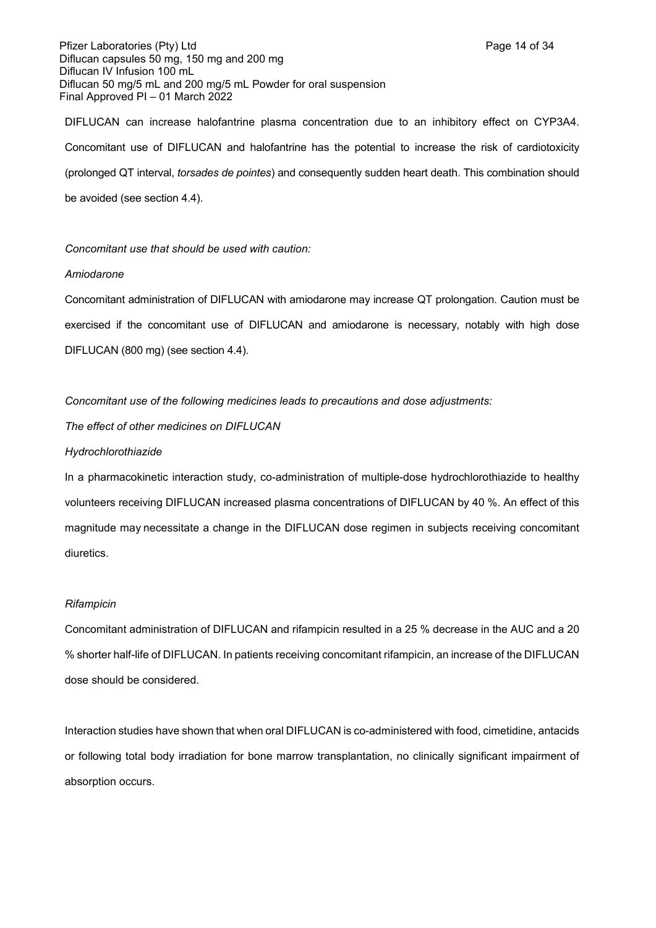Pfizer Laboratories (Pty) Ltd **Page 14 of 34** Page 14 of 34 Diflucan capsules 50 mg, 150 mg and 200 mg Diflucan IV Infusion 100 mL Diflucan 50 mg/5 mL and 200 mg/5 mL Powder for oral suspension Final Approved PI – 01 March 2022

DIFLUCAN can increase halofantrine plasma concentration due to an inhibitory effect on CYP3A4. Concomitant use of DIFLUCAN and halofantrine has the potential to increase the risk of cardiotoxicity (prolonged QT interval, *torsades de pointes*) and consequently sudden heart death. This combination should be avoided (see section 4.4).

*Concomitant use that should be used with caution:*

### *Amiodarone*

Concomitant administration of DIFLUCAN with amiodarone may increase QT prolongation. Caution must be exercised if the concomitant use of DIFLUCAN and amiodarone is necessary, notably with high dose DIFLUCAN (800 mg) (see section 4.4).

*Concomitant use of the following medicines leads to precautions and dose adjustments:*

*The effect of other medicines on DIFLUCAN*

### *Hydrochlorothiazide*

In a pharmacokinetic interaction study, co-administration of multiple-dose hydrochlorothiazide to healthy volunteers receiving DIFLUCAN increased plasma concentrations of DIFLUCAN by 40 %. An effect of this magnitude may necessitate a change in the DIFLUCAN dose regimen in subjects receiving concomitant diuretics.

### *Rifampicin*

Concomitant administration of DIFLUCAN and rifampicin resulted in a 25 % decrease in the AUC and a 20 % shorter half-life of DIFLUCAN. In patients receiving concomitant rifampicin, an increase of the DIFLUCAN dose should be considered.

Interaction studies have shown that when oral DIFLUCAN is co-administered with food, cimetidine, antacids or following total body irradiation for bone marrow transplantation, no clinically significant impairment of absorption occurs.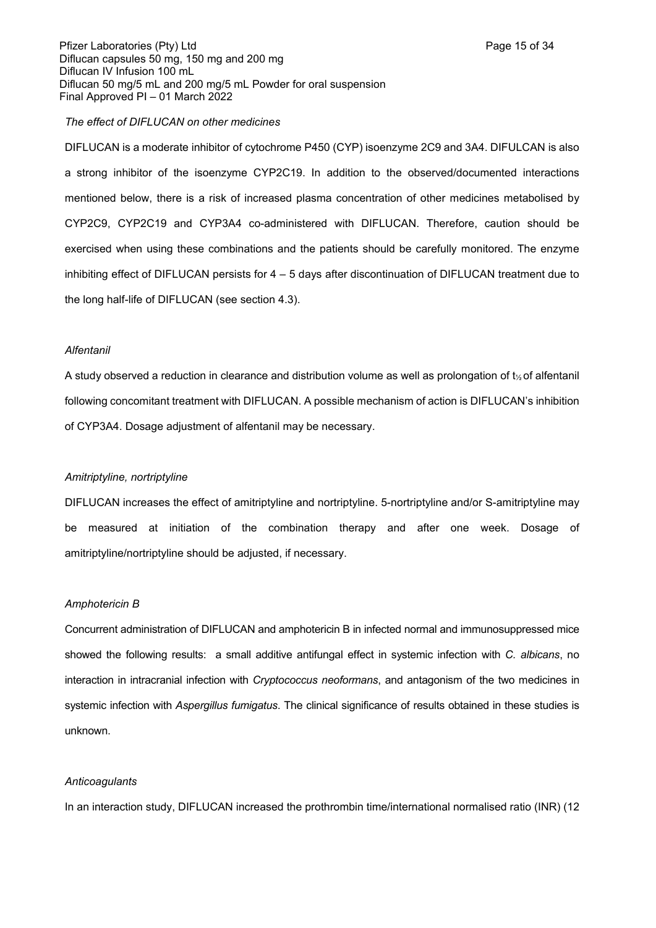Pfizer Laboratories (Pty) Ltd **Page 15 of 34** Page 15 of 34 Diflucan capsules 50 mg, 150 mg and 200 mg Diflucan IV Infusion 100 mL Diflucan 50 mg/5 mL and 200 mg/5 mL Powder for oral suspension Final Approved PI – 01 March 2022

#### *The effect of DIFLUCAN on other medicines*

DIFLUCAN is a moderate inhibitor of cytochrome P450 (CYP) isoenzyme 2C9 and 3A4. DIFULCAN is also a strong inhibitor of the isoenzyme CYP2C19. In addition to the observed/documented interactions mentioned below, there is a risk of increased plasma concentration of other medicines metabolised by CYP2C9, CYP2C19 and CYP3A4 co-administered with DIFLUCAN. Therefore, caution should be exercised when using these combinations and the patients should be carefully monitored. The enzyme inhibiting effect of DIFLUCAN persists for 4 – 5 days after discontinuation of DIFLUCAN treatment due to the long half-life of DIFLUCAN (see section 4.3).

#### *Alfentanil*

A study observed a reduction in clearance and distribution volume as well as prolongation of t½ of alfentanil following concomitant treatment with DIFLUCAN. A possible mechanism of action is DIFLUCAN's inhibition of CYP3A4. Dosage adjustment of alfentanil may be necessary.

### *Amitriptyline, nortriptyline*

DIFLUCAN increases the effect of amitriptyline and nortriptyline. 5-nortriptyline and/or S-amitriptyline may be measured at initiation of the combination therapy and after one week. Dosage of amitriptyline/nortriptyline should be adjusted, if necessary.

#### *Amphotericin B*

Concurrent administration of DIFLUCAN and amphotericin B in infected normal and immunosuppressed mice showed the following results: a small additive antifungal effect in systemic infection with *C. albicans*, no interaction in intracranial infection with *Cryptococcus neoformans*, and antagonism of the two medicines in systemic infection with *Aspergillus fumigatus*. The clinical significance of results obtained in these studies is unknown.

#### *Anticoagulants*

In an interaction study, DIFLUCAN increased the prothrombin time/international normalised ratio (INR) (12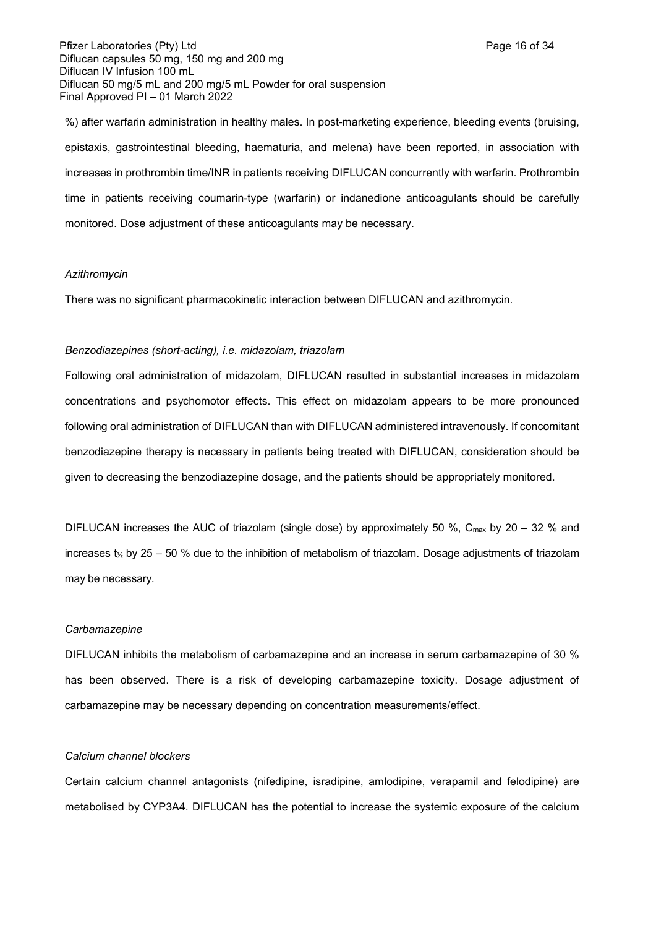Pfizer Laboratories (Pty) Ltd **Page 16 of 34** Page 16 of 34 Diflucan capsules 50 mg, 150 mg and 200 mg Diflucan IV Infusion 100 mL Diflucan 50 mg/5 mL and 200 mg/5 mL Powder for oral suspension Final Approved PI – 01 March 2022

%) after warfarin administration in healthy males. In post-marketing experience, bleeding events (bruising, epistaxis, gastrointestinal bleeding, haematuria, and melena) have been reported, in association with increases in prothrombin time/INR in patients receiving DIFLUCAN concurrently with warfarin. Prothrombin time in patients receiving coumarin-type (warfarin) or indanedione anticoagulants should be carefully monitored. Dose adjustment of these anticoagulants may be necessary.

#### *Azithromycin*

There was no significant pharmacokinetic interaction between DIFLUCAN and azithromycin.

#### *Benzodiazepines (short-acting), i.e. midazolam, triazolam*

Following oral administration of midazolam, DIFLUCAN resulted in substantial increases in midazolam concentrations and psychomotor effects. This effect on midazolam appears to be more pronounced following oral administration of DIFLUCAN than with DIFLUCAN administered intravenously. If concomitant benzodiazepine therapy is necessary in patients being treated with DIFLUCAN, consideration should be given to decreasing the benzodiazepine dosage, and the patients should be appropriately monitored.

DIFLUCAN increases the AUC of triazolam (single dose) by approximately 50 %, C<sub>max</sub> by 20 – 32 % and increases t<sup>½</sup> by 25 – 50 % due to the inhibition of metabolism of triazolam. Dosage adjustments of triazolam may be necessary.

#### *Carbamazepine*

DIFLUCAN inhibits the metabolism of carbamazepine and an increase in serum carbamazepine of 30 % has been observed. There is a risk of developing carbamazepine toxicity. Dosage adjustment of carbamazepine may be necessary depending on concentration measurements/effect.

#### *Calcium channel blockers*

Certain calcium channel antagonists (nifedipine, isradipine, amlodipine, verapamil and felodipine) are metabolised by CYP3A4. DIFLUCAN has the potential to increase the systemic exposure of the calcium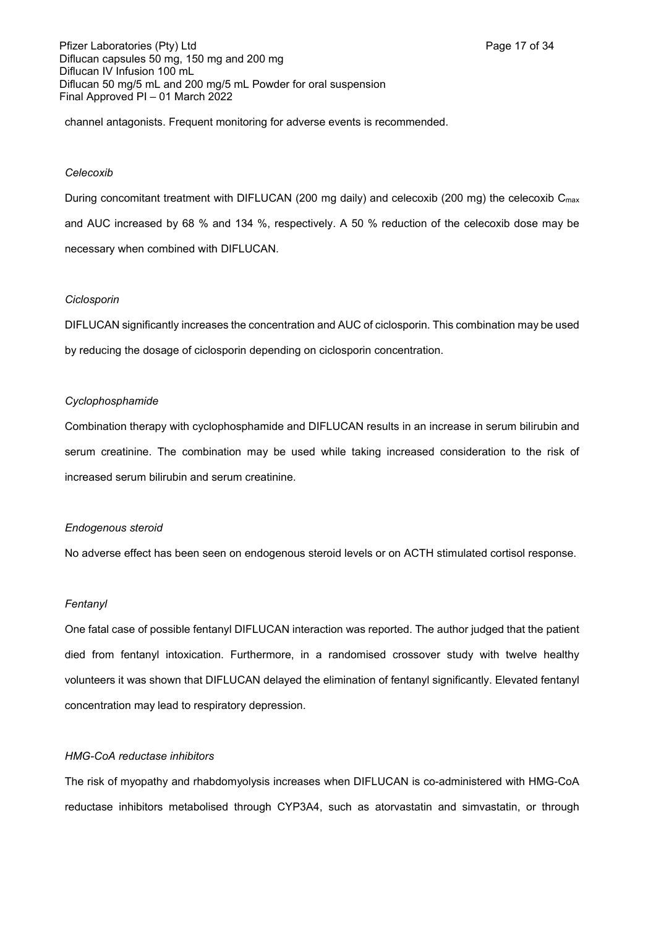Pfizer Laboratories (Pty) Ltd **Page 17 of 34** Page 17 of 34 Diflucan capsules 50 mg, 150 mg and 200 mg Diflucan IV Infusion 100 mL Diflucan 50 mg/5 mL and 200 mg/5 mL Powder for oral suspension Final Approved PI – 01 March 2022

channel antagonists. Frequent monitoring for adverse events is recommended.

### *Celecoxib*

During concomitant treatment with DIFLUCAN (200 mg daily) and celecoxib (200 mg) the celecoxib C<sub>max</sub> and AUC increased by 68 % and 134 %, respectively. A 50 % reduction of the celecoxib dose may be necessary when combined with DIFLUCAN.

### *Ciclosporin*

DIFLUCAN significantly increases the concentration and AUC of ciclosporin. This combination may be used by reducing the dosage of ciclosporin depending on ciclosporin concentration.

### *Cyclophosphamide*

Combination therapy with cyclophosphamide and DIFLUCAN results in an increase in serum bilirubin and serum creatinine. The combination may be used while taking increased consideration to the risk of increased serum bilirubin and serum creatinine.

### *Endogenous steroid*

No adverse effect has been seen on endogenous steroid levels or on ACTH stimulated cortisol response.

### *Fentanyl*

One fatal case of possible fentanyl DIFLUCAN interaction was reported. The author judged that the patient died from fentanyl intoxication. Furthermore, in a randomised crossover study with twelve healthy volunteers it was shown that DIFLUCAN delayed the elimination of fentanyl significantly. Elevated fentanyl concentration may lead to respiratory depression.

### *HMG-CoA reductase inhibitors*

The risk of myopathy and rhabdomyolysis increases when DIFLUCAN is co-administered with HMG-CoA reductase inhibitors metabolised through CYP3A4, such as atorvastatin and simvastatin, or through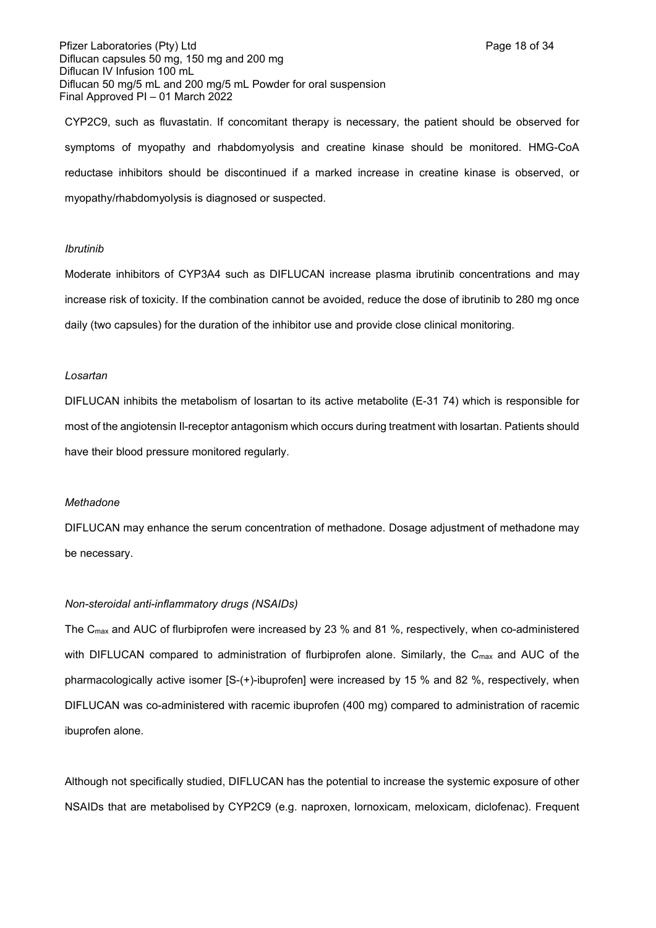CYP2C9, such as fluvastatin. If concomitant therapy is necessary, the patient should be observed for symptoms of myopathy and rhabdomyolysis and creatine kinase should be monitored. HMG-CoA reductase inhibitors should be discontinued if a marked increase in creatine kinase is observed, or myopathy/rhabdomyolysis is diagnosed or suspected.

### *Ibrutinib*

Moderate inhibitors of CYP3A4 such as DIFLUCAN increase plasma ibrutinib concentrations and may increase risk of toxicity. If the combination cannot be avoided, reduce the dose of ibrutinib to 280 mg once daily (two capsules) for the duration of the inhibitor use and provide close clinical monitoring.

#### *Losartan*

DIFLUCAN inhibits the metabolism of losartan to its active metabolite (E-31 74) which is responsible for most of the angiotensin Il-receptor antagonism which occurs during treatment with losartan. Patients should have their blood pressure monitored regularly.

### *Methadone*

DIFLUCAN may enhance the serum concentration of methadone. Dosage adjustment of methadone may be necessary.

### *Non-steroidal anti-inflammatory drugs (NSAIDs)*

The Cmax and AUC of flurbiprofen were increased by 23 % and 81 %, respectively, when co-administered with DIFLUCAN compared to administration of flurbiprofen alone. Similarly, the C<sub>max</sub> and AUC of the pharmacologically active isomer [S-(+)-ibuprofen] were increased by 15 % and 82 %, respectively, when DIFLUCAN was co-administered with racemic ibuprofen (400 mg) compared to administration of racemic ibuprofen alone.

Although not specifically studied, DIFLUCAN has the potential to increase the systemic exposure of other NSAIDs that are metabolised by CYP2C9 (e.g. naproxen, lornoxicam, meloxicam, diclofenac). Frequent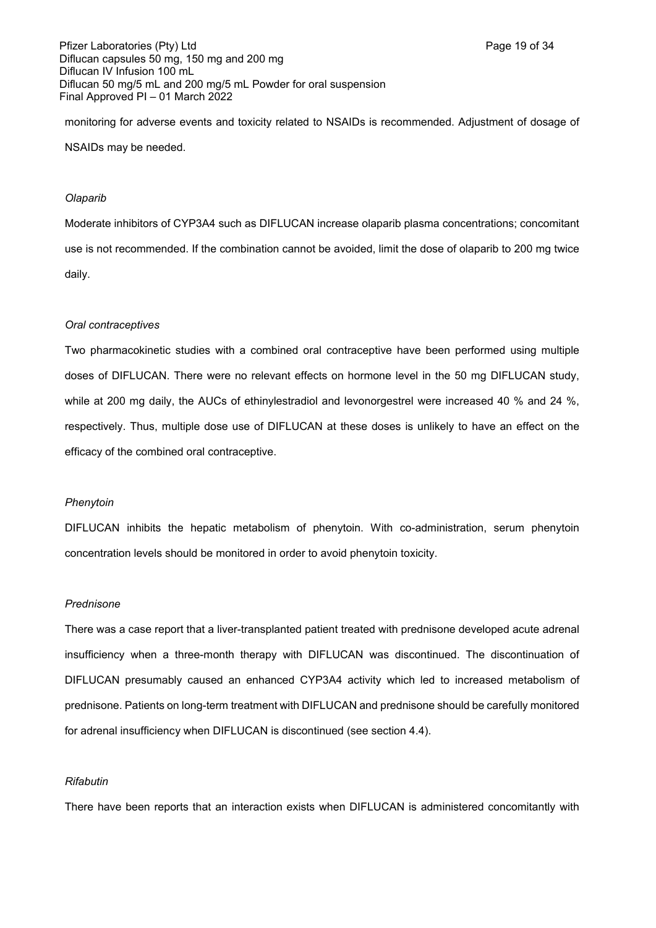Pfizer Laboratories (Pty) Ltd **Page 19 of 34** Page 19 of 34 Diflucan capsules 50 mg, 150 mg and 200 mg Diflucan IV Infusion 100 mL Diflucan 50 mg/5 mL and 200 mg/5 mL Powder for oral suspension Final Approved PI – 01 March 2022

monitoring for adverse events and toxicity related to NSAIDs is recommended. Adjustment of dosage of NSAIDs may be needed.

#### *Olaparib*

Moderate inhibitors of CYP3A4 such as DIFLUCAN increase olaparib plasma concentrations; concomitant use is not recommended. If the combination cannot be avoided, limit the dose of olaparib to 200 mg twice daily.

### *Oral contraceptives*

Two pharmacokinetic studies with a combined oral contraceptive have been performed using multiple doses of DIFLUCAN. There were no relevant effects on hormone level in the 50 mg DIFLUCAN study, while at 200 mg daily, the AUCs of ethinylestradiol and levonorgestrel were increased 40 % and 24 %, respectively. Thus, multiple dose use of DIFLUCAN at these doses is unlikely to have an effect on the efficacy of the combined oral contraceptive.

#### *Phenytoin*

DIFLUCAN inhibits the hepatic metabolism of phenytoin. With co-administration, serum phenytoin concentration levels should be monitored in order to avoid phenytoin toxicity.

### *Prednisone*

There was a case report that a liver-transplanted patient treated with prednisone developed acute adrenal insufficiency when a three-month therapy with DIFLUCAN was discontinued. The discontinuation of DIFLUCAN presumably caused an enhanced CYP3A4 activity which led to increased metabolism of prednisone. Patients on long-term treatment with DIFLUCAN and prednisone should be carefully monitored for adrenal insufficiency when DIFLUCAN is discontinued (see section 4.4).

### *Rifabutin*

There have been reports that an interaction exists when DIFLUCAN is administered concomitantly with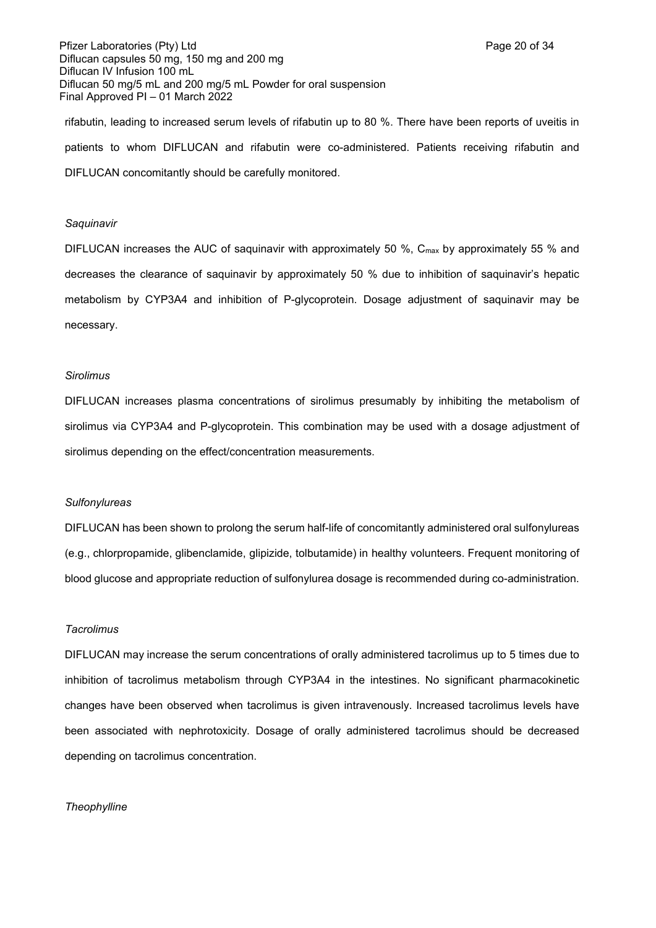Pfizer Laboratories (Pty) Ltd **Page 20 of 34** Page 20 of 34 Diflucan capsules 50 mg, 150 mg and 200 mg Diflucan IV Infusion 100 mL Diflucan 50 mg/5 mL and 200 mg/5 mL Powder for oral suspension Final Approved PI – 01 March 2022

rifabutin, leading to increased serum levels of rifabutin up to 80 %. There have been reports of uveitis in patients to whom DIFLUCAN and rifabutin were co-administered. Patients receiving rifabutin and DIFLUCAN concomitantly should be carefully monitored.

#### *Saquinavir*

DIFLUCAN increases the AUC of saquinavir with approximately 50 %, C<sub>max</sub> by approximately 55 % and decreases the clearance of saquinavir by approximately 50 % due to inhibition of saquinavir's hepatic metabolism by CYP3A4 and inhibition of P-glycoprotein. Dosage adjustment of saquinavir may be necessary.

#### *Sirolimus*

DIFLUCAN increases plasma concentrations of sirolimus presumably by inhibiting the metabolism of sirolimus via CYP3A4 and P-glycoprotein. This combination may be used with a dosage adjustment of sirolimus depending on the effect/concentration measurements.

#### *Sulfonylureas*

DIFLUCAN has been shown to prolong the serum half-life of concomitantly administered oral sulfonylureas (e.g., chlorpropamide, glibenclamide, glipizide, tolbutamide) in healthy volunteers. Frequent monitoring of blood glucose and appropriate reduction of sulfonylurea dosage is recommended during co-administration.

### *Tacrolimus*

DIFLUCAN may increase the serum concentrations of orally administered tacrolimus up to 5 times due to inhibition of tacrolimus metabolism through CYP3A4 in the intestines. No significant pharmacokinetic changes have been observed when tacrolimus is given intravenously. Increased tacrolimus levels have been associated with nephrotoxicity. Dosage of orally administered tacrolimus should be decreased depending on tacrolimus concentration.

### *Theophylline*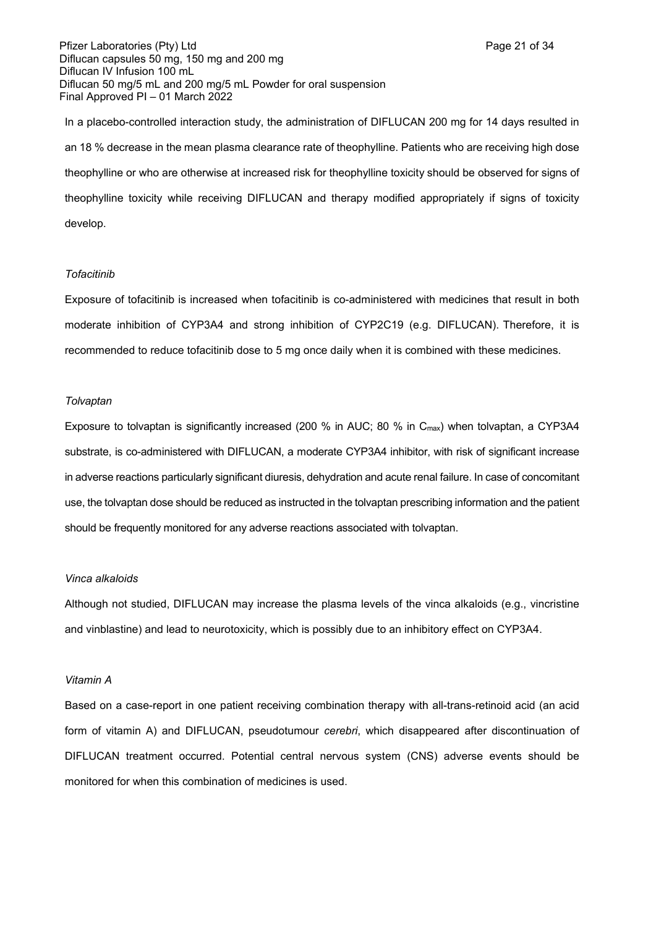Pfizer Laboratories (Pty) Ltd **Page 21 of 34** Page 21 of 34 Diflucan capsules 50 mg, 150 mg and 200 mg Diflucan IV Infusion 100 mL Diflucan 50 mg/5 mL and 200 mg/5 mL Powder for oral suspension Final Approved PI – 01 March 2022

In a placebo-controlled interaction study, the administration of DIFLUCAN 200 mg for 14 days resulted in an 18 % decrease in the mean plasma clearance rate of theophylline. Patients who are receiving high dose theophylline or who are otherwise at increased risk for theophylline toxicity should be observed for signs of theophylline toxicity while receiving DIFLUCAN and therapy modified appropriately if signs of toxicity develop.

### *Tofacitinib*

Exposure of tofacitinib is increased when tofacitinib is co-administered with medicines that result in both moderate inhibition of CYP3A4 and strong inhibition of CYP2C19 (e.g. DIFLUCAN). Therefore, it is recommended to reduce tofacitinib dose to 5 mg once daily when it is combined with these medicines.

#### *Tolvaptan*

Exposure to tolvaptan is significantly increased (200 % in AUC; 80 % in  $C_{\text{max}}$ ) when tolvaptan, a CYP3A4 substrate, is co-administered with DIFLUCAN, a moderate CYP3A4 inhibitor, with risk of significant increase in adverse reactions particularly significant diuresis, dehydration and acute renal failure. In case of concomitant use, the tolvaptan dose should be reduced as instructed in the tolvaptan prescribing information and the patient should be frequently monitored for any adverse reactions associated with tolvaptan.

#### *Vinca alkaloids*

Although not studied, DIFLUCAN may increase the plasma levels of the vinca alkaloids (e.g., vincristine and vinblastine) and lead to neurotoxicity, which is possibly due to an inhibitory effect on CYP3A4.

#### *Vitamin A*

Based on a case-report in one patient receiving combination therapy with all-trans-retinoid acid (an acid form of vitamin A) and DIFLUCAN, pseudotumour *cerebri*, which disappeared after discontinuation of DIFLUCAN treatment occurred. Potential central nervous system (CNS) adverse events should be monitored for when this combination of medicines is used.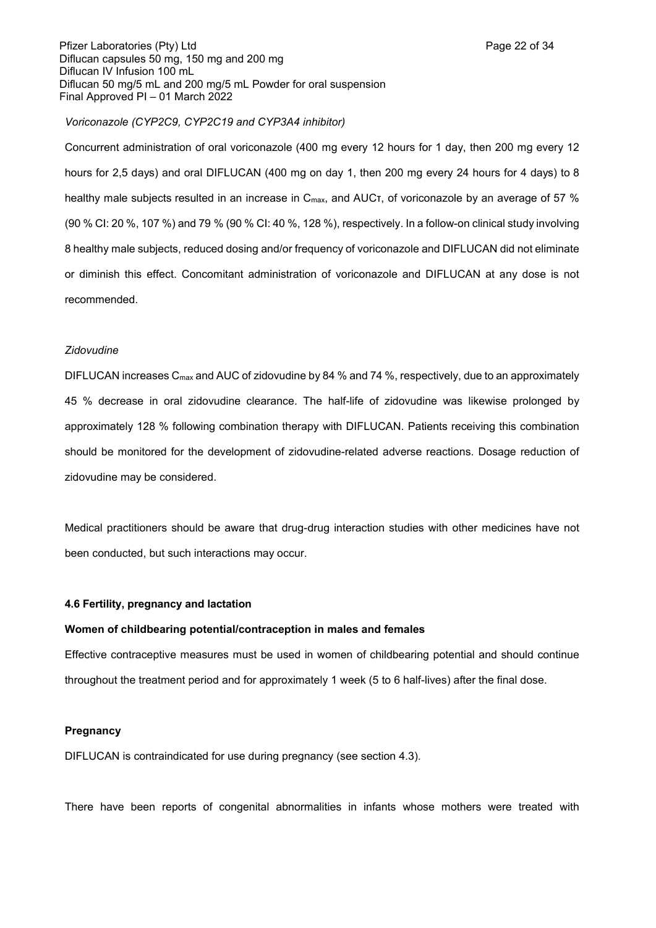Pfizer Laboratories (Pty) Ltd **Page 22 of 34** Page 22 of 34 Diflucan capsules 50 mg, 150 mg and 200 mg Diflucan IV Infusion 100 mL Diflucan 50 mg/5 mL and 200 mg/5 mL Powder for oral suspension Final Approved PI – 01 March 2022

### *Voriconazole (CYP2C9, CYP2C19 and CYP3A4 inhibitor)*

Concurrent administration of oral voriconazole (400 mg every 12 hours for 1 day, then 200 mg every 12 hours for 2,5 days) and oral DIFLUCAN (400 mg on day 1, then 200 mg every 24 hours for 4 days) to 8 healthy male subjects resulted in an increase in C<sub>max</sub>, and AUCτ, of voriconazole by an average of 57 % (90 % CI: 20 %, 107 %) and 79 % (90 % CI: 40 %, 128 %), respectively. In a follow-on clinical study involving 8 healthy male subjects, reduced dosing and/or frequency of voriconazole and DIFLUCAN did not eliminate or diminish this effect. Concomitant administration of voriconazole and DIFLUCAN at any dose is not recommended.

#### *Zidovudine*

DIFLUCAN increases C<sub>max</sub> and AUC of zidovudine by 84 % and 74 %, respectively, due to an approximately 45 % decrease in oral zidovudine clearance. The half-life of zidovudine was likewise prolonged by approximately 128 % following combination therapy with DIFLUCAN. Patients receiving this combination should be monitored for the development of zidovudine-related adverse reactions. Dosage reduction of zidovudine may be considered.

Medical practitioners should be aware that drug-drug interaction studies with other medicines have not been conducted, but such interactions may occur.

### **4.6 Fertility, pregnancy and lactation**

### **Women of childbearing potential/contraception in males and females**

Effective contraceptive measures must be used in women of childbearing potential and should continue throughout the treatment period and for approximately 1 week (5 to 6 half-lives) after the final dose.

#### **Pregnancy**

DIFLUCAN is contraindicated for use during pregnancy (see section 4.3).

There have been reports of congenital abnormalities in infants whose mothers were treated with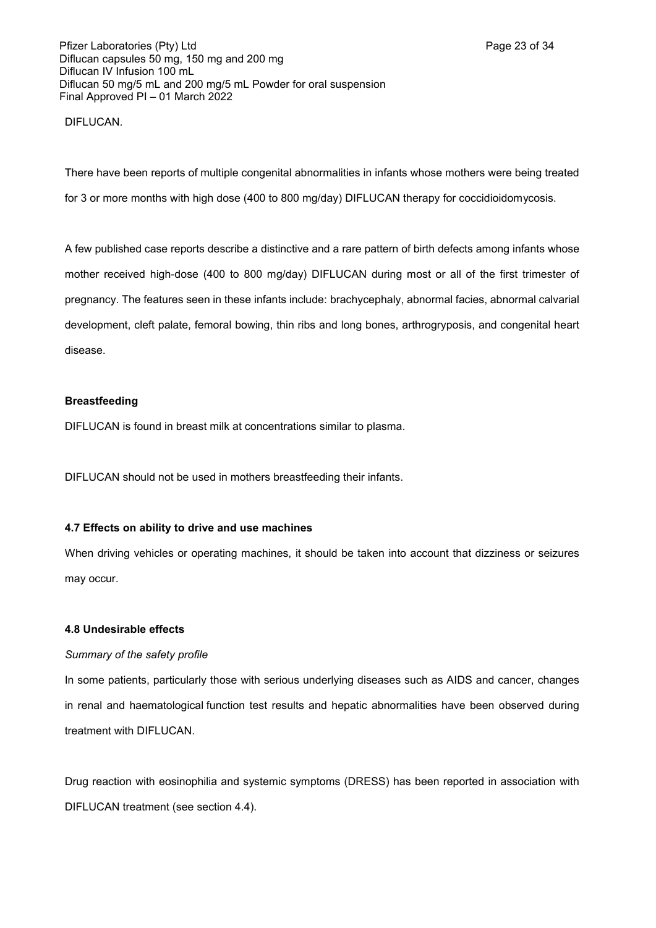DIFLUCAN.

There have been reports of multiple congenital abnormalities in infants whose mothers were being treated for 3 or more months with high dose (400 to 800 mg/day) DIFLUCAN therapy for coccidioidomycosis.

A few published case reports describe a distinctive and a rare pattern of birth defects among infants whose mother received high-dose (400 to 800 mg/day) DIFLUCAN during most or all of the first trimester of pregnancy. The features seen in these infants include: brachycephaly, abnormal facies, abnormal calvarial development, cleft palate, femoral bowing, thin ribs and long bones, arthrogryposis, and congenital heart disease.

#### **Breastfeeding**

DIFLUCAN is found in breast milk at concentrations similar to plasma.

DIFLUCAN should not be used in mothers breastfeeding their infants.

### **4.7 Effects on ability to drive and use machines**

When driving vehicles or operating machines, it should be taken into account that dizziness or seizures may occur.

#### **4.8 Undesirable effects**

#### *Summary of the safety profile*

In some patients, particularly those with serious underlying diseases such as AIDS and cancer, changes in renal and haematological function test results and hepatic abnormalities have been observed during treatment with DIFLUCAN.

Drug reaction with eosinophilia and systemic symptoms (DRESS) has been reported in association with DIFLUCAN treatment (see section 4.4).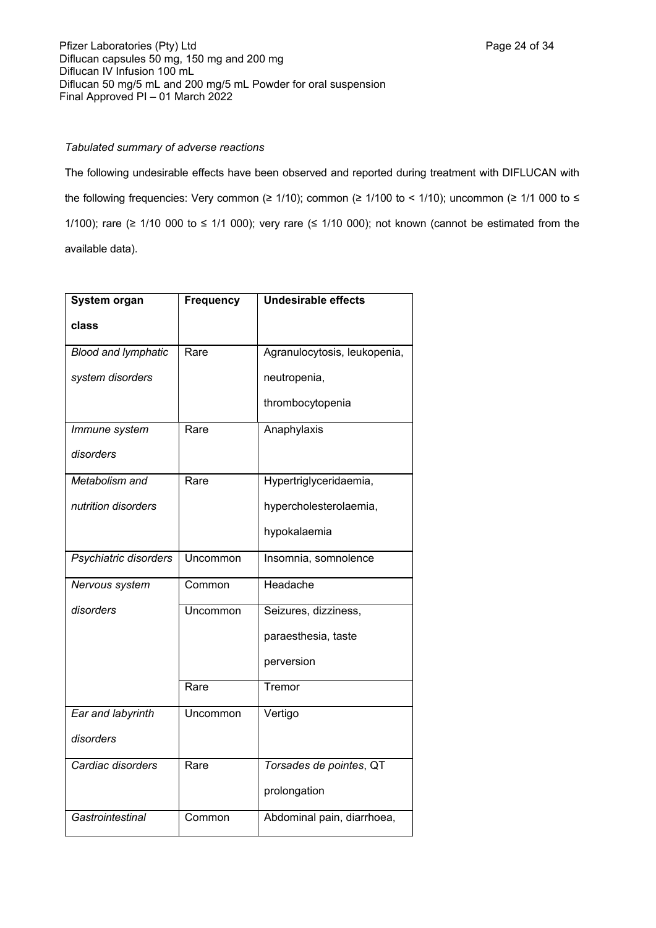## *Tabulated summary of adverse reactions*

The following undesirable effects have been observed and reported during treatment with DIFLUCAN with the following frequencies: Very common (≥ 1/10); common (≥ 1/100 to < 1/10); uncommon (≥ 1/1 000 to ≤ 1/100); rare ( $\geq$  1/10 000 to  $\leq$  1/1 000); very rare ( $\leq$  1/10 000); not known (cannot be estimated from the available data).

| System organ               | <b>Frequency</b> | <b>Undesirable effects</b>   |
|----------------------------|------------------|------------------------------|
| class                      |                  |                              |
| <b>Blood and lymphatic</b> | Rare             | Agranulocytosis, leukopenia, |
| system disorders           |                  | neutropenia,                 |
|                            |                  | thrombocytopenia             |
| Immune system              | Rare             | Anaphylaxis                  |
| disorders                  |                  |                              |
| Metabolism and             | Rare             | Hypertriglyceridaemia,       |
| nutrition disorders        |                  | hypercholesterolaemia,       |
|                            |                  | hypokalaemia                 |
| Psychiatric disorders      | Uncommon         | Insomnia, somnolence         |
| Nervous system             | Common           | Headache                     |
| disorders                  | Uncommon         | Seizures, dizziness,         |
|                            |                  | paraesthesia, taste          |
|                            |                  | perversion                   |
|                            | Rare             | Tremor                       |
| Ear and labyrinth          | Uncommon         | Vertigo                      |
| disorders                  |                  |                              |
| Cardiac disorders          | Rare             | Torsades de pointes, QT      |
|                            |                  | prolongation                 |
| Gastrointestinal           | Common           | Abdominal pain, diarrhoea,   |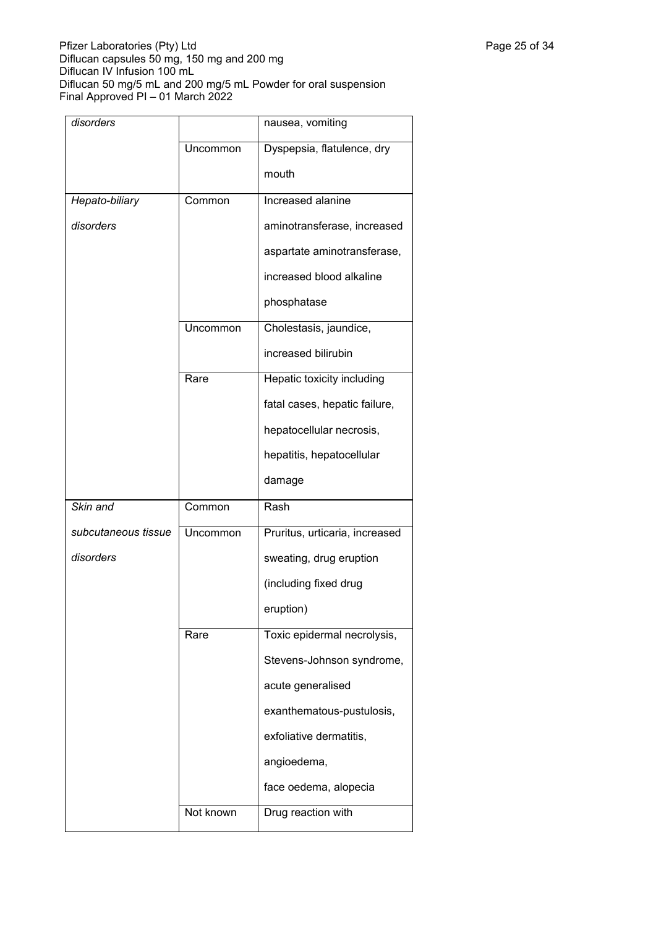| disorders           |           | nausea, vomiting               |
|---------------------|-----------|--------------------------------|
|                     | Uncommon  | Dyspepsia, flatulence, dry     |
|                     |           | mouth                          |
| Hepato-biliary      | Common    | Increased alanine              |
| disorders           |           | aminotransferase, increased    |
|                     |           | aspartate aminotransferase,    |
|                     |           | increased blood alkaline       |
|                     |           | phosphatase                    |
|                     | Uncommon  | Cholestasis, jaundice,         |
|                     |           | increased bilirubin            |
|                     | Rare      | Hepatic toxicity including     |
|                     |           | fatal cases, hepatic failure,  |
|                     |           | hepatocellular necrosis,       |
|                     |           | hepatitis, hepatocellular      |
|                     |           | damage                         |
|                     |           |                                |
| Skin and            | Common    | Rash                           |
| subcutaneous tissue | Uncommon  | Pruritus, urticaria, increased |
| disorders           |           | sweating, drug eruption        |
|                     |           | (including fixed drug          |
|                     |           | eruption)                      |
|                     | Rare      | Toxic epidermal necrolysis,    |
|                     |           | Stevens-Johnson syndrome,      |
|                     |           | acute generalised              |
|                     |           | exanthematous-pustulosis,      |
|                     |           | exfoliative dermatitis,        |
|                     |           | angioedema,                    |
|                     |           | face oedema, alopecia          |
|                     | Not known | Drug reaction with             |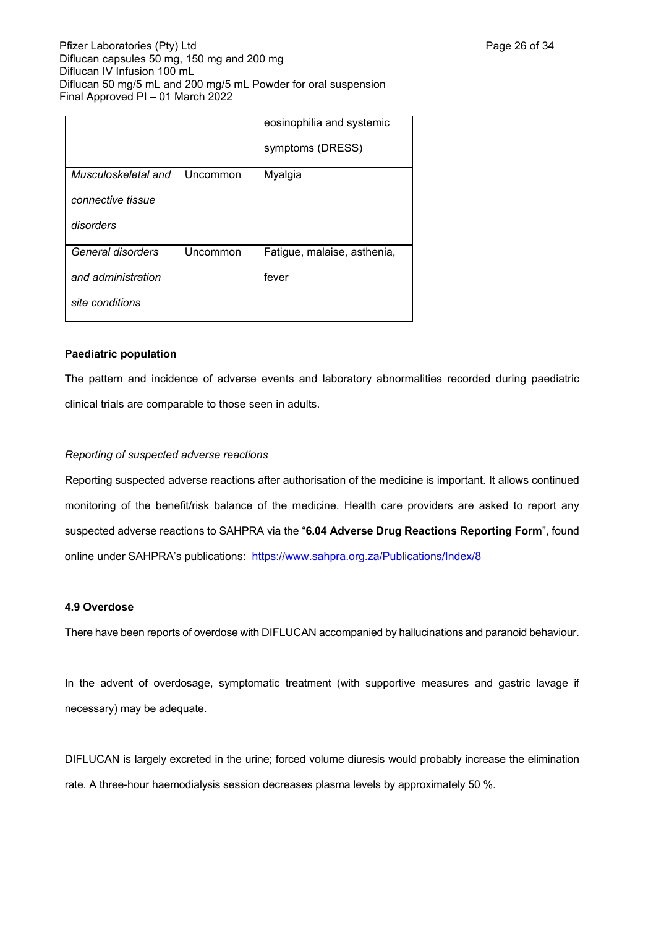|                                                            |          | eosinophilia and systemic<br>symptoms (DRESS) |
|------------------------------------------------------------|----------|-----------------------------------------------|
| Musculoskeletal and<br>connective tissue<br>disorders      | Uncommon | Myalgia                                       |
| General disorders<br>and administration<br>site conditions | Uncommon | Fatigue, malaise, asthenia,<br>fever          |

### **Paediatric population**

The pattern and incidence of adverse events and laboratory abnormalities recorded during paediatric clinical trials are comparable to those seen in adults.

### *Reporting of suspected adverse reactions*

Reporting suspected adverse reactions after authorisation of the medicine is important. It allows continued monitoring of the benefit/risk balance of the medicine. Health care providers are asked to report any suspected adverse reactions to SAHPRA via the "**6.04 Adverse Drug Reactions Reporting Form**", found online under SAHPRA's publications: <https://www.sahpra.org.za/Publications/Index/8>

### **4.9 Overdose**

There have been reports of overdose with DIFLUCAN accompanied by hallucinations and paranoid behaviour.

In the advent of overdosage, symptomatic treatment (with supportive measures and gastric lavage if necessary) may be adequate.

DIFLUCAN is largely excreted in the urine; forced volume diuresis would probably increase the elimination rate. A three-hour haemodialysis session decreases plasma levels by approximately 50 %.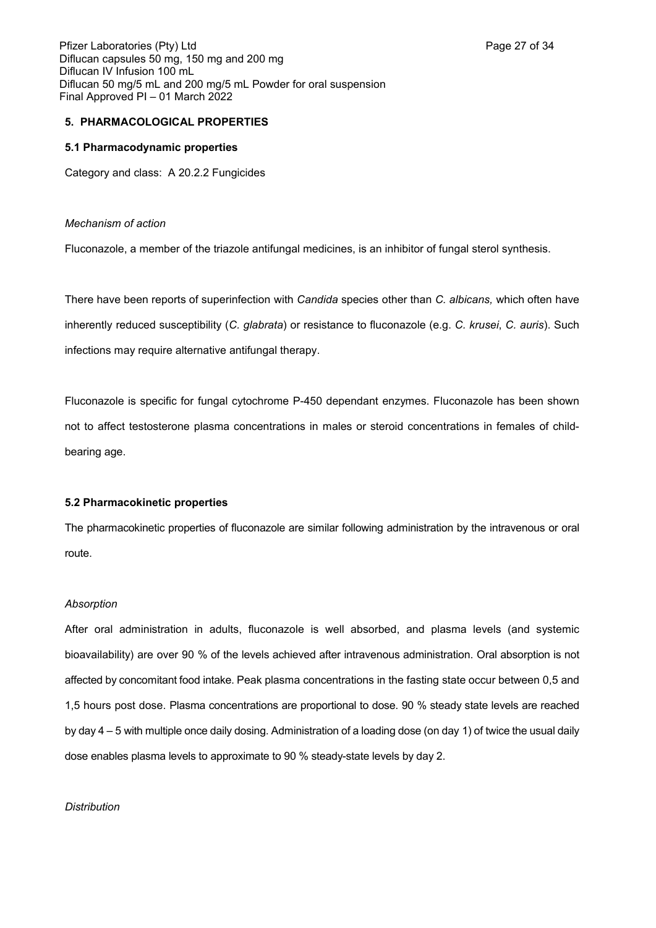### **5. PHARMACOLOGICAL PROPERTIES**

### **5.1 Pharmacodynamic properties**

Category and class: A 20.2.2 Fungicides

### *Mechanism of action*

Fluconazole, a member of the triazole antifungal medicines, is an inhibitor of fungal sterol synthesis.

There have been reports of superinfection with *Candida* species other than *C. albicans,* which often have inherently reduced susceptibility (*C. glabrata*) or resistance to fluconazole (e.g. *C. krusei*, *C. auris*). Such infections may require alternative antifungal therapy.

Fluconazole is specific for fungal cytochrome P-450 dependant enzymes. Fluconazole has been shown not to affect testosterone plasma concentrations in males or steroid concentrations in females of childbearing age.

### **5.2 Pharmacokinetic properties**

The pharmacokinetic properties of fluconazole are similar following administration by the intravenous or oral route.

### *Absorption*

After oral administration in adults, fluconazole is well absorbed, and plasma levels (and systemic bioavailability) are over 90 % of the levels achieved after intravenous administration. Oral absorption is not affected by concomitant food intake. Peak plasma concentrations in the fasting state occur between 0,5 and 1,5 hours post dose. Plasma concentrations are proportional to dose. 90 % steady state levels are reached by day 4 – 5 with multiple once daily dosing. Administration of a loading dose (on day 1) of twice the usual daily dose enables plasma levels to approximate to 90 % steady-state levels by day 2.

### *Distribution*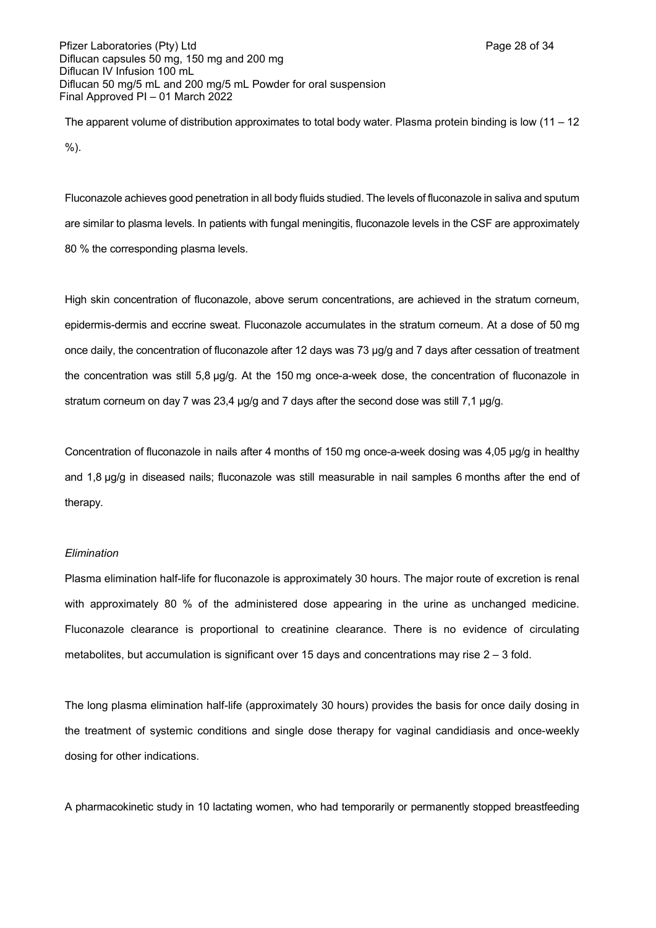Pfizer Laboratories (Pty) Ltd **Page 28 of 34** Page 28 of 34 Diflucan capsules 50 mg, 150 mg and 200 mg Diflucan IV Infusion 100 mL Diflucan 50 mg/5 mL and 200 mg/5 mL Powder for oral suspension Final Approved PI – 01 March 2022

The apparent volume of distribution approximates to total body water. Plasma protein binding is low (11 – 12 %).

Fluconazole achieves good penetration in all body fluids studied. The levels of fluconazole in saliva and sputum are similar to plasma levels. In patients with fungal meningitis, fluconazole levels in the CSF are approximately 80 % the corresponding plasma levels.

High skin concentration of fluconazole, above serum concentrations, are achieved in the stratum corneum, epidermis-dermis and eccrine sweat. Fluconazole accumulates in the stratum corneum. At a dose of 50 mg once daily, the concentration of fluconazole after 12 days was 73 µg/g and 7 days after cessation of treatment the concentration was still 5,8 µg/g. At the 150 mg once-a-week dose, the concentration of fluconazole in stratum corneum on day 7 was 23,4 µg/g and 7 days after the second dose was still 7,1 µg/g.

Concentration of fluconazole in nails after 4 months of 150 mg once-a-week dosing was 4,05 µg/g in healthy and 1,8 µg/g in diseased nails; fluconazole was still measurable in nail samples 6 months after the end of therapy.

#### *Elimination*

Plasma elimination half-life for fluconazole is approximately 30 hours. The major route of excretion is renal with approximately 80 % of the administered dose appearing in the urine as unchanged medicine. Fluconazole clearance is proportional to creatinine clearance. There is no evidence of circulating metabolites, but accumulation is significant over 15 days and concentrations may rise  $2 - 3$  fold.

The long plasma elimination half-life (approximately 30 hours) provides the basis for once daily dosing in the treatment of systemic conditions and single dose therapy for vaginal candidiasis and once-weekly dosing for other indications.

A pharmacokinetic study in 10 lactating women, who had temporarily or permanently stopped breastfeeding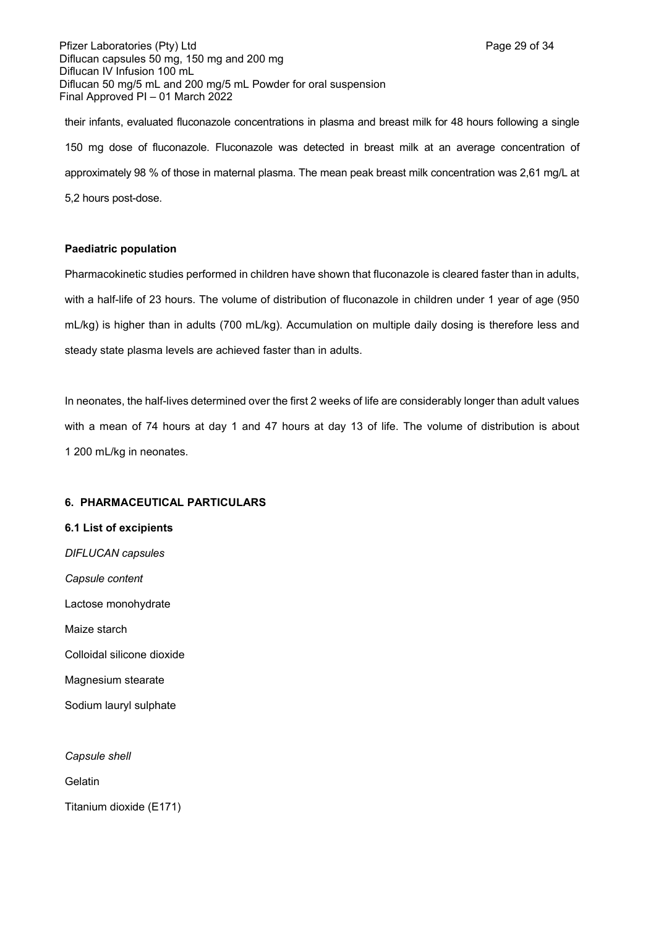Pfizer Laboratories (Pty) Ltd **Page 29 of 34** Page 29 of 34 Diflucan capsules 50 mg, 150 mg and 200 mg Diflucan IV Infusion 100 mL Diflucan 50 mg/5 mL and 200 mg/5 mL Powder for oral suspension Final Approved PI – 01 March 2022

their infants, evaluated fluconazole concentrations in plasma and breast milk for 48 hours following a single 150 mg dose of fluconazole. Fluconazole was detected in breast milk at an average concentration of approximately 98 % of those in maternal plasma. The mean peak breast milk concentration was 2,61 mg/L at 5,2 hours post-dose.

### **Paediatric population**

Pharmacokinetic studies performed in children have shown that fluconazole is cleared faster than in adults, with a half-life of 23 hours. The volume of distribution of fluconazole in children under 1 year of age (950 mL/kg) is higher than in adults (700 mL/kg). Accumulation on multiple daily dosing is therefore less and steady state plasma levels are achieved faster than in adults.

In neonates, the half-lives determined over the first 2 weeks of life are considerably longer than adult values with a mean of 74 hours at day 1 and 47 hours at day 13 of life. The volume of distribution is about 1 200 mL/kg in neonates.

### **6. PHARMACEUTICAL PARTICULARS**

**6.1 List of excipients** *DIFLUCAN capsules Capsule content* Lactose monohydrate Maize starch Colloidal silicone dioxide Magnesium stearate Sodium lauryl sulphate

*Capsule shell* **Gelatin** Titanium dioxide (E171)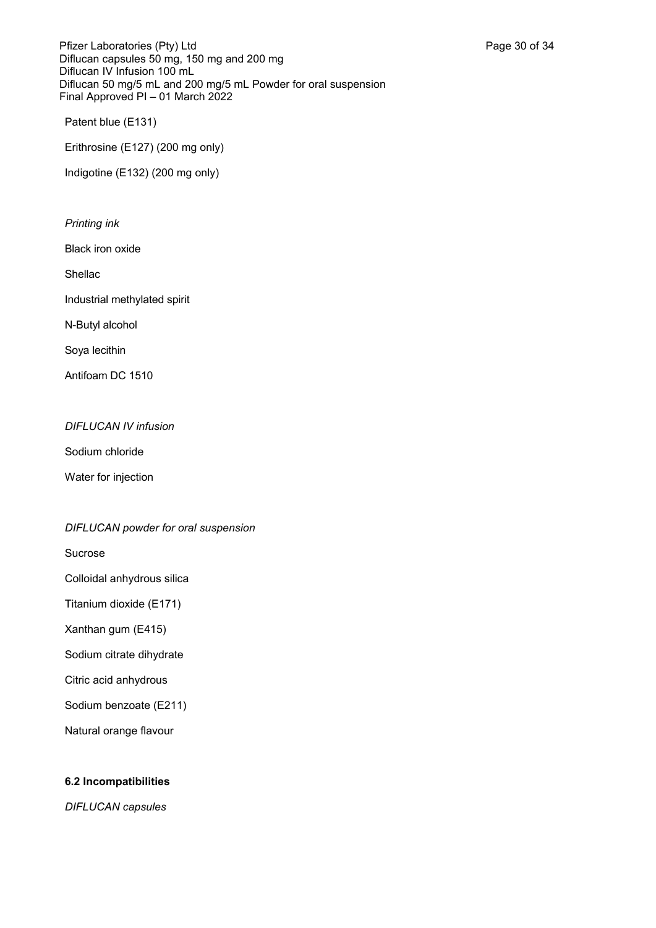Pfizer Laboratories (Pty) Ltd **Page 30 of 34** Page 30 of 34 Diflucan capsules 50 mg, 150 mg and 200 mg Diflucan IV Infusion 100 mL Diflucan 50 mg/5 mL and 200 mg/5 mL Powder for oral suspension Final Approved PI – 01 March 2022

Patent blue (E131)

Erithrosine (E127) (200 mg only)

Indigotine (E132) (200 mg only)

### *Printing ink*

Black iron oxide

Shellac

Industrial methylated spirit

N-Butyl alcohol

Soya lecithin

Antifoam DC 1510

### *DIFLUCAN IV infusion*

Sodium chloride

Water for injection

## *DIFLUCAN powder for oral suspension*

Sucrose

Colloidal anhydrous silica

Titanium dioxide (E171)

Xanthan gum (E415)

Sodium citrate dihydrate

Citric acid anhydrous

Sodium benzoate (E211)

Natural orange flavour

## **6.2 Incompatibilities**

*DIFLUCAN capsules*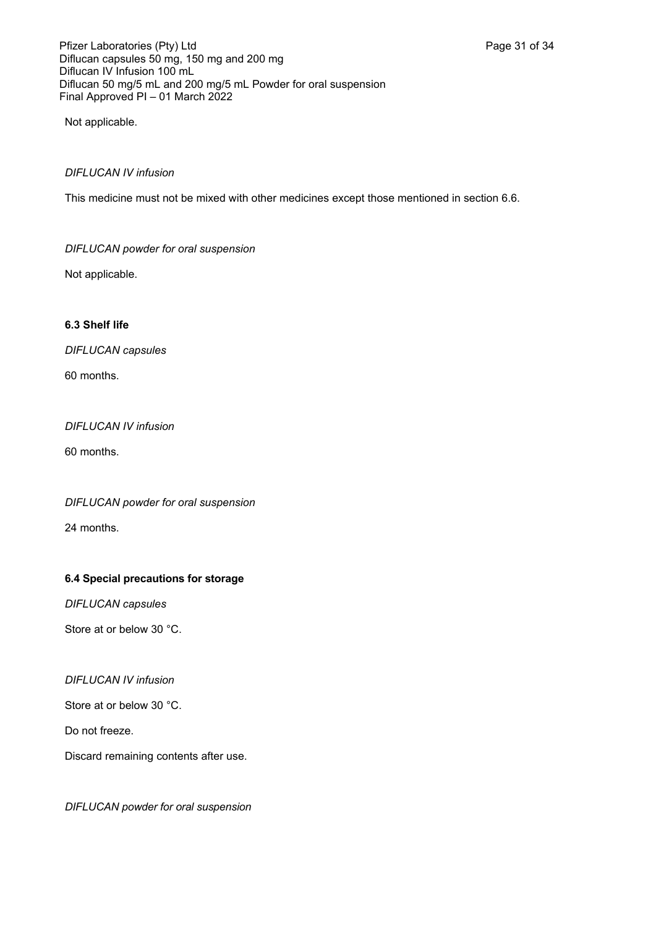Not applicable.

## *DIFLUCAN IV infusion*

This medicine must not be mixed with other medicines except those mentioned in section 6.6.

## *DIFLUCAN powder for oral suspension*

Not applicable.

## **6.3 Shelf life**

*DIFLUCAN capsules*

60 months.

## *DIFLUCAN IV infusion*

60 months.

*DIFLUCAN powder for oral suspension*

24 months.

## **6.4 Special precautions for storage**

*DIFLUCAN capsules* 

Store at or below 30 °C.

## *DIFLUCAN IV infusion*

Store at or below 30 °C.

Do not freeze.

Discard remaining contents after use.

*DIFLUCAN powder for oral suspension*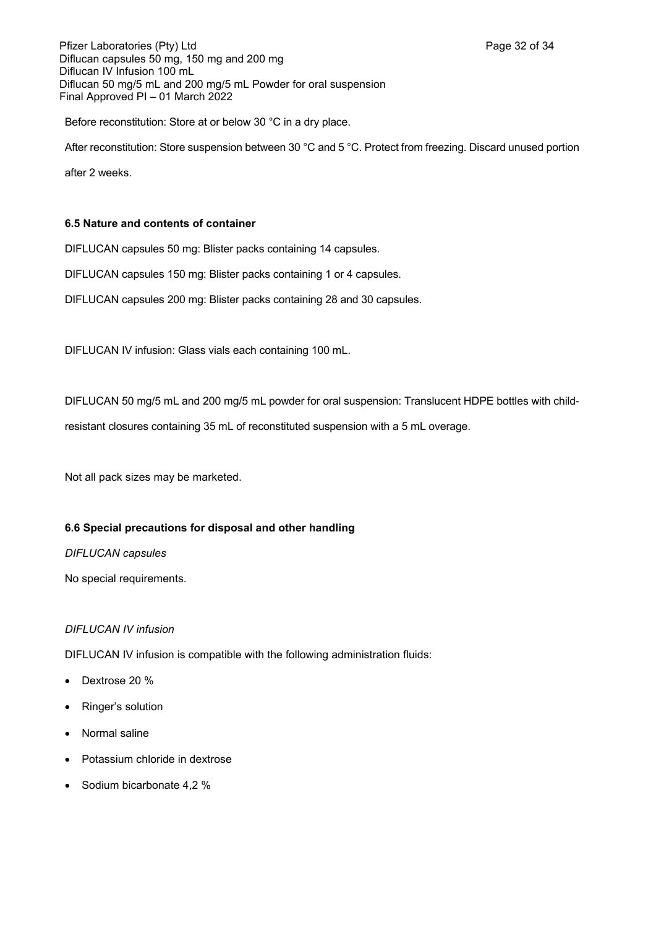Pfizer Laboratories (Pty) Ltd **Page 32 of 34** Page 32 of 34 Diflucan capsules 50 mg, 150 mg and 200 mg Diflucan IV Infusion 100 mL Diflucan 50 mg/5 mL and 200 mg/5 mL Powder for oral suspension Final Approved PI – 01 March 2022

Before reconstitution: Store at or below 30 °C in a dry place.

After reconstitution: Store suspension between 30 °C and 5 °C. Protect from freezing. Discard unused portion

after 2 weeks.

## **6.5 Nature and contents of container**

DIFLUCAN capsules 50 mg: Blister packs containing 14 capsules.

DIFLUCAN capsules 150 mg: Blister packs containing 1 or 4 capsules.

DIFLUCAN capsules 200 mg: Blister packs containing 28 and 30 capsules.

DIFLUCAN IV infusion: Glass vials each containing 100 mL.

DIFLUCAN 50 mg/5 mL and 200 mg/5 mL powder for oral suspension: Translucent HDPE bottles with child-

resistant closures containing 35 mL of reconstituted suspension with a 5 mL overage.

Not all pack sizes may be marketed.

## **6.6 Special precautions for disposal and other handling**

### *DIFLUCAN capsules*

No special requirements.

## *DIFLUCAN IV infusion*

DIFLUCAN IV infusion is compatible with the following administration fluids:

- Dextrose 20 %
- Ringer's solution
- Normal saline
- Potassium chloride in dextrose
- Sodium bicarbonate 4,2 %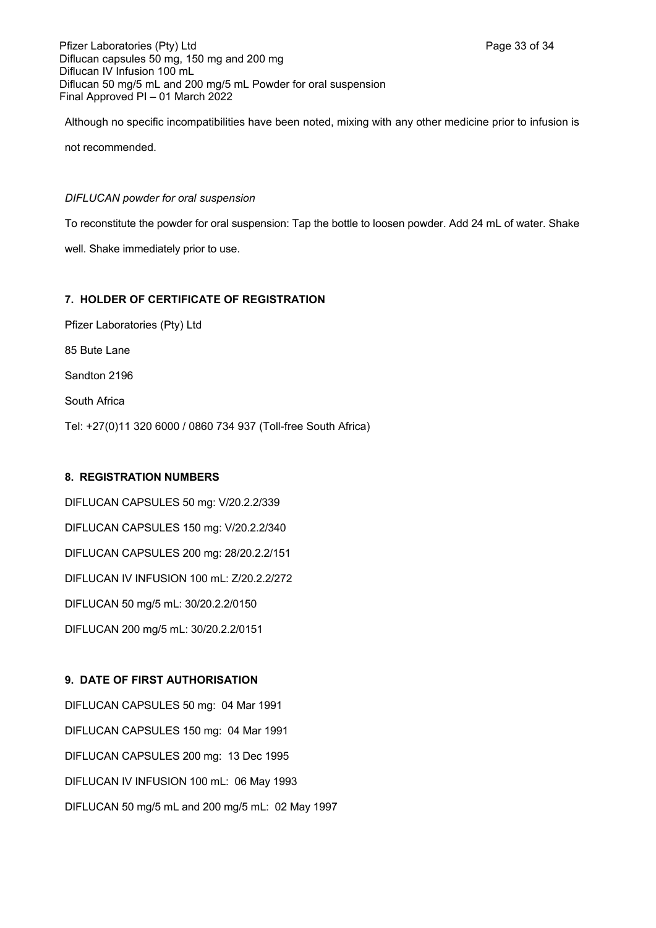Pfizer Laboratories (Pty) Ltd **Page 33 of 34** Page 33 of 34 Diflucan capsules 50 mg, 150 mg and 200 mg Diflucan IV Infusion 100 mL Diflucan 50 mg/5 mL and 200 mg/5 mL Powder for oral suspension Final Approved PI – 01 March 2022

Although no specific incompatibilities have been noted, mixing with any other medicine prior to infusion is not recommended.

### *DIFLUCAN powder for oral suspension*

To reconstitute the powder for oral suspension: Tap the bottle to loosen powder. Add 24 mL of water. Shake

well. Shake immediately prior to use.

### **7. HOLDER OF CERTIFICATE OF REGISTRATION**

Pfizer Laboratories (Pty) Ltd 85 Bute Lane Sandton 2196 South Africa Tel: +27(0)11 320 6000 / 0860 734 937 (Toll-free South Africa)

### **8. REGISTRATION NUMBERS**

DIFLUCAN CAPSULES 50 mg: V/20.2.2/339 DIFLUCAN CAPSULES 150 mg: V/20.2.2/340 DIFLUCAN CAPSULES 200 mg: 28/20.2.2/151 DIFLUCAN IV INFUSION 100 mL: Z/20.2.2/272 DIFLUCAN 50 mg/5 mL: 30/20.2.2/0150 DIFLUCAN 200 mg/5 mL: 30/20.2.2/0151

## **9. DATE OF FIRST AUTHORISATION**

DIFLUCAN CAPSULES 50 mg: 04 Mar 1991 DIFLUCAN CAPSULES 150 mg: 04 Mar 1991 DIFLUCAN CAPSULES 200 mg: 13 Dec 1995 DIFLUCAN IV INFUSION 100 mL: 06 May 1993 DIFLUCAN 50 mg/5 mL and 200 mg/5 mL: 02 May 1997